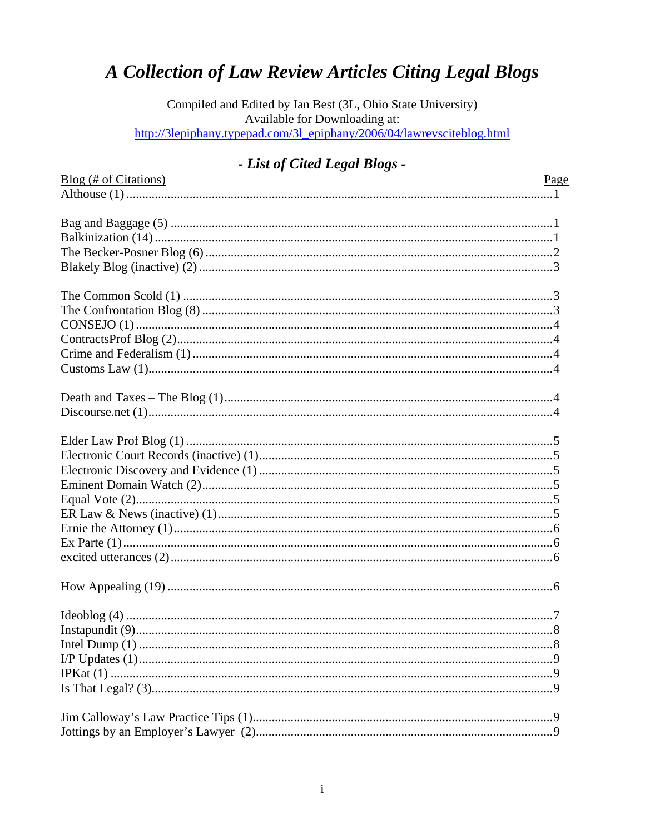# A Collection of Law Review Articles Citing Legal Blogs

Compiled and Edited by Ian Best (3L, Ohio State University) Available for Downloading at: http://3lepiphany.typepad.com/3l\_epiphany/2006/04/lawrevsciteblog.html

## - List of Cited Legal Blogs -

| $B\log$ (# of Citations) | Page |
|--------------------------|------|
|                          |      |
|                          |      |
|                          |      |
|                          |      |
|                          |      |
|                          |      |
|                          |      |
|                          |      |
|                          |      |
|                          |      |
|                          |      |
|                          |      |
|                          |      |
|                          |      |
|                          |      |
|                          |      |
|                          |      |
|                          |      |
|                          |      |
|                          |      |
|                          |      |
|                          |      |
|                          |      |
|                          |      |
|                          |      |
|                          |      |
|                          |      |
|                          |      |
|                          |      |
|                          |      |
|                          |      |
|                          |      |
|                          |      |
|                          |      |
|                          |      |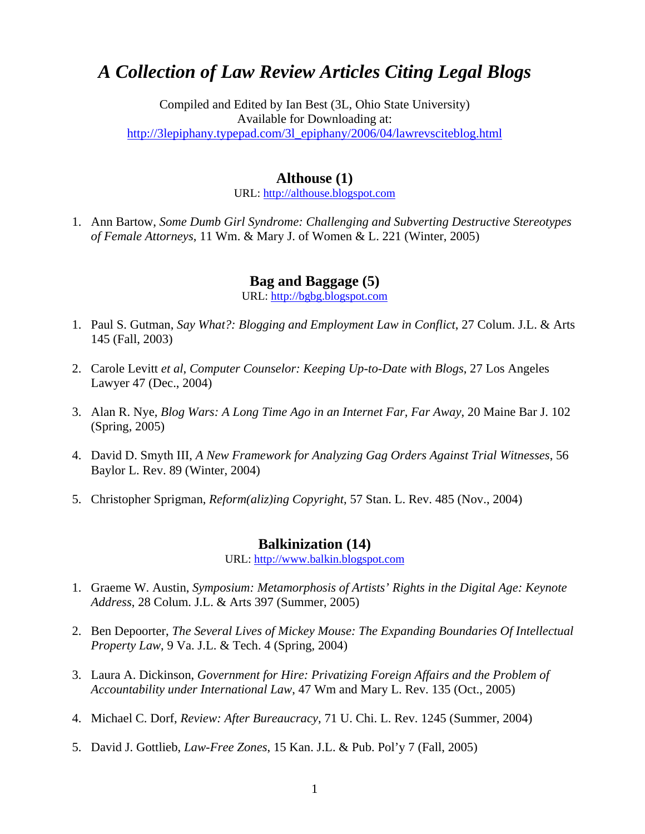# *A Collection of Law Review Articles Citing Legal Blogs*

Compiled and Edited by Ian Best (3L, Ohio State University) Available for Downloading at: [http://3lepiphany.typepad.com/3l\\_epiphany/2006/04/lawrevsciteblog.html](http://3lepiphany.typepad.com/3l_epiphany/2006/04/lawrevsciteblog.html) 

#### **Althouse (1)**

URL: [http://althouse.blogspot.com](http://althouse.blogspot.com/)

1. Ann Bartow, *Some Dumb Girl Syndrome: Challenging and Subverting Destructive Stereotypes of Female Attorneys*, 11 Wm. & Mary J. of Women & L. 221 (Winter, 2005)

#### **Bag and Baggage (5)**

URL: [http://bgbg.blogspot.com](http://bgbg.blogspot.com/)

- 1. Paul S. Gutman, *Say What?: Blogging and Employment Law in Conflict*, 27 Colum. J.L. & Arts 145 (Fall, 2003)
- 2. Carole Levitt *et al*, *Computer Counselor: Keeping Up-to-Date with Blogs*, 27 Los Angeles Lawyer 47 (Dec., 2004)
- 3. Alan R. Nye, *Blog Wars: A Long Time Ago in an Internet Far, Far Away*, 20 Maine Bar J. 102 (Spring, 2005)
- 4. David D. Smyth III, *A New Framework for Analyzing Gag Orders Against Trial Witnesses*, 56 Baylor L. Rev. 89 (Winter, 2004)
- 5. Christopher Sprigman, *Reform(aliz)ing Copyright*, 57 Stan. L. Rev. 485 (Nov., 2004)

#### **Balkinization (14)**

URL: [http://www.balkin.blogspot.com](http://www.balkin.blogspot.com/)

- 1. Graeme W. Austin, *Symposium: Metamorphosis of Artists' Rights in the Digital Age: Keynote Address*, 28 Colum. J.L. & Arts 397 (Summer, 2005)
- 2. Ben Depoorter, *The Several Lives of Mickey Mouse: The Expanding Boundaries Of Intellectual Property Law*, 9 Va. J.L. & Tech. 4 (Spring, 2004)
- 3. Laura A. Dickinson, *Government for Hire: Privatizing Foreign Affairs and the Problem of Accountability under International Law*, 47 Wm and Mary L. Rev. 135 (Oct., 2005)
- 4. Michael C. Dorf, *Review: After Bureaucracy*, 71 U. Chi. L. Rev. 1245 (Summer, 2004)
- 5. David J. Gottlieb, *Law-Free Zones*, 15 Kan. J.L. & Pub. Pol'y 7 (Fall, 2005)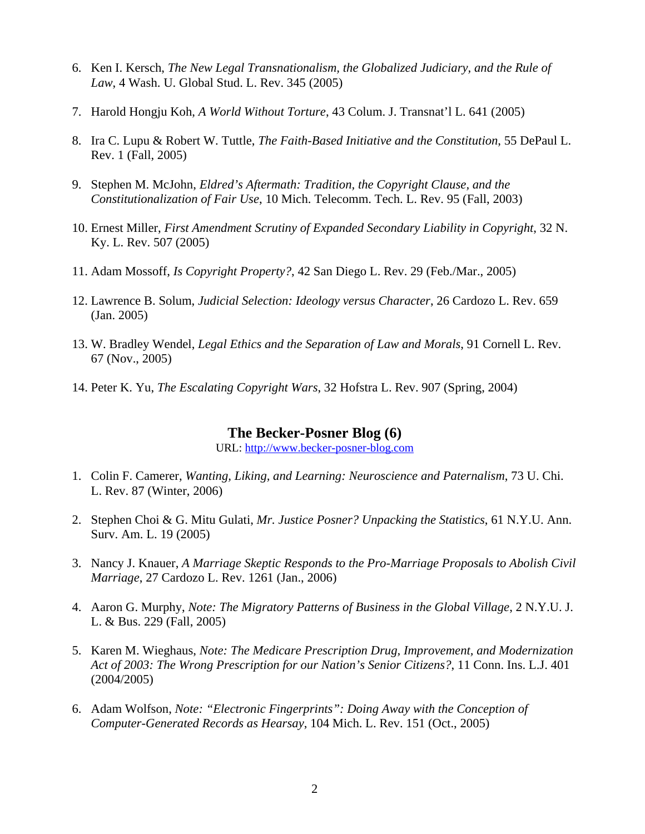- 6. Ken I. Kersch, *The New Legal Transnationalism, the Globalized Judiciary, and the Rule of Law*, 4 Wash. U. Global Stud. L. Rev. 345 (2005)
- 7. Harold Hongju Koh, *A World Without Torture*, 43 Colum. J. Transnat'l L. 641 (2005)
- 8. Ira C. Lupu & Robert W. Tuttle, *The Faith-Based Initiative and the Constitution*, 55 DePaul L. Rev. 1 (Fall, 2005)
- 9. Stephen M. McJohn, *Eldred's Aftermath: Tradition, the Copyright Clause, and the Constitutionalization of Fair Use*, 10 Mich. Telecomm. Tech. L. Rev. 95 (Fall, 2003)
- 10. Ernest Miller, *First Amendment Scrutiny of Expanded Secondary Liability in Copyright*, 32 N. Ky. L. Rev. 507 (2005)
- 11. Adam Mossoff, *Is Copyright Property?*, 42 San Diego L. Rev. 29 (Feb./Mar., 2005)
- 12. Lawrence B. Solum, *Judicial Selection: Ideology versus Character*, 26 Cardozo L. Rev. 659 (Jan. 2005)
- 13. W. Bradley Wendel, *Legal Ethics and the Separation of Law and Morals*, 91 Cornell L. Rev. 67 (Nov., 2005)
- 14. Peter K. Yu, *The Escalating Copyright Wars*, 32 Hofstra L. Rev. 907 (Spring, 2004)

#### **The Becker-Posner Blog (6)**

URL: [http://www.becker-posner-blog.com](http://www.becker-posner-blog.com/)

- 1. Colin F. Camerer, *Wanting, Liking, and Learning: Neuroscience and Paternalism*, 73 U. Chi. L. Rev. 87 (Winter, 2006)
- 2. Stephen Choi & G. Mitu Gulati, *Mr. Justice Posner? Unpacking the Statistics*, 61 N.Y.U. Ann. Surv. Am. L. 19 (2005)
- 3. Nancy J. Knauer, *A Marriage Skeptic Responds to the Pro-Marriage Proposals to Abolish Civil Marriage*, 27 Cardozo L. Rev. 1261 (Jan., 2006)
- 4. Aaron G. Murphy, *Note: The Migratory Patterns of Business in the Global Village*, 2 N.Y.U. J. L. & Bus. 229 (Fall, 2005)
- 5. Karen M. Wieghaus, *Note: The Medicare Prescription Drug, Improvement, and Modernization Act of 2003: The Wrong Prescription for our Nation's Senior Citizens?*, 11 Conn. Ins. L.J. 401 (2004/2005)
- 6. Adam Wolfson, *Note: "Electronic Fingerprints": Doing Away with the Conception of Computer-Generated Records as Hearsay*, 104 Mich. L. Rev. 151 (Oct., 2005)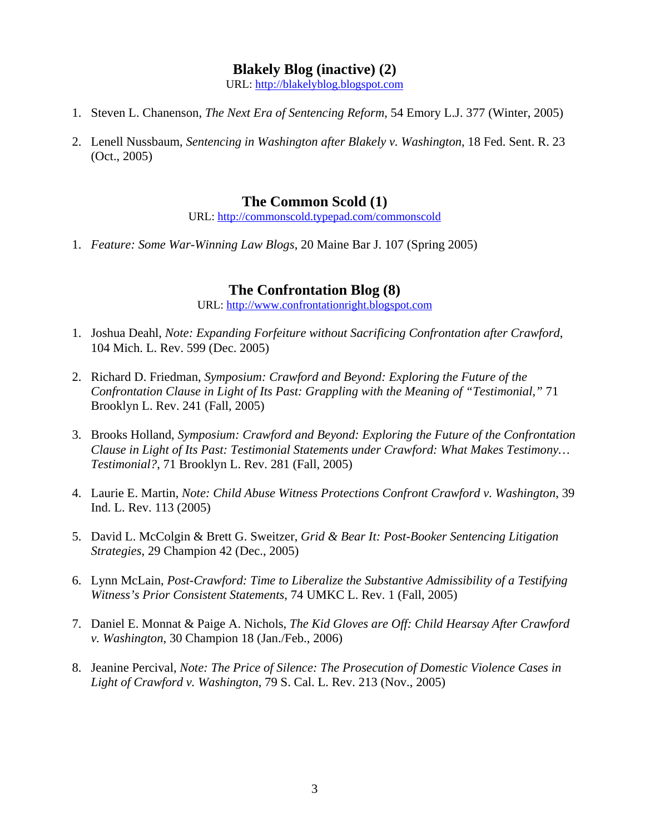#### **Blakely Blog (inactive) (2)**

URL: [http://blakelyblog.blogspot.com](http://blakelyblog.blogspot.com/)

- 1. Steven L. Chanenson, *The Next Era of Sentencing Reform*, 54 Emory L.J. 377 (Winter, 2005)
- 2. Lenell Nussbaum, *Sentencing in Washington after Blakely v. Washington*, 18 Fed. Sent. R. 23 (Oct., 2005)

### **The Common Scold (1)**

URL: <http://commonscold.typepad.com/commonscold>

1. *Feature: Some War-Winning Law Blogs*, 20 Maine Bar J. 107 (Spring 2005)

### **The Confrontation Blog (8)**

URL: [http://www.confrontationright.blogspot.com](http://www.confrontationright.blogspot.com/)

- 1. Joshua Deahl, *Note: Expanding Forfeiture without Sacrificing Confrontation after Crawford*, 104 Mich. L. Rev. 599 (Dec. 2005)
- 2. Richard D. Friedman, *Symposium: Crawford and Beyond: Exploring the Future of the Confrontation Clause in Light of Its Past: Grappling with the Meaning of "Testimonial,"* 71 Brooklyn L. Rev. 241 (Fall, 2005)
- 3. Brooks Holland, *Symposium: Crawford and Beyond: Exploring the Future of the Confrontation Clause in Light of Its Past: Testimonial Statements under Crawford: What Makes Testimony… Testimonial?*, 71 Brooklyn L. Rev. 281 (Fall, 2005)
- 4. Laurie E. Martin, *Note: Child Abuse Witness Protections Confront Crawford v. Washington*, 39 Ind. L. Rev. 113 (2005)
- 5. David L. McColgin & Brett G. Sweitzer, *Grid & Bear It: Post-Booker Sentencing Litigation Strategies*, 29 Champion 42 (Dec., 2005)
- 6. Lynn McLain, *Post-Crawford: Time to Liberalize the Substantive Admissibility of a Testifying Witness's Prior Consistent Statements*, 74 UMKC L. Rev. 1 (Fall, 2005)
- 7. Daniel E. Monnat & Paige A. Nichols, *The Kid Gloves are Off: Child Hearsay After Crawford v. Washington*, 30 Champion 18 (Jan./Feb., 2006)
- 8. Jeanine Percival, *Note: The Price of Silence: The Prosecution of Domestic Violence Cases in Light of Crawford v. Washington*, 79 S. Cal. L. Rev. 213 (Nov., 2005)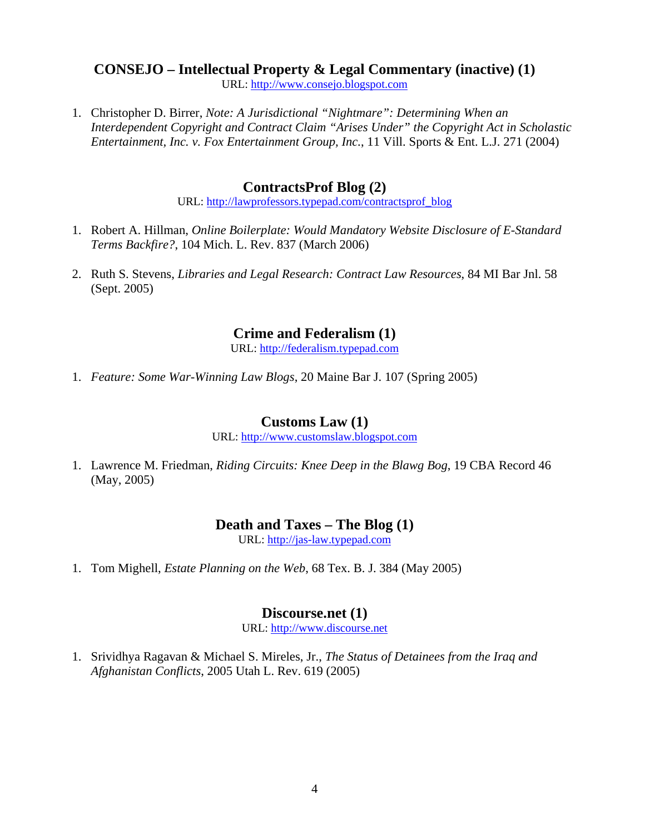## **CONSEJO – Intellectual Property & Legal Commentary (inactive) (1)**

URL: [http://www.consejo.blogspot.com](http://www.consejo.blogspot.com/)

1. Christopher D. Birrer, *Note: A Jurisdictional "Nightmare": Determining When an Interdependent Copyright and Contract Claim "Arises Under" the Copyright Act in Scholastic Entertainment, Inc. v. Fox Entertainment Group, Inc.*, 11 Vill. Sports & Ent. L.J. 271 (2004)

### **ContractsProf Blog (2)**

URL: [http://lawprofessors.typepad.com/contractsprof\\_blog](http://lawprofessors.typepad.com/contractsprof_blog/)

- 1. Robert A. Hillman, *Online Boilerplate: Would Mandatory Website Disclosure of E-Standard Terms Backfire?*, 104 Mich. L. Rev. 837 (March 2006)
- 2. Ruth S. Stevens, *Libraries and Legal Research: Contract Law Resources*, 84 MI Bar Jnl. 58 (Sept. 2005)

### **Crime and Federalism (1)**

URL: [http://federalism.typepad.com](http://federalism.typepad.com/)

1. *Feature: Some War-Winning Law Blogs*, 20 Maine Bar J. 107 (Spring 2005)

### **Customs Law (1)**

URL: [http://www.customslaw.blogspot.com](http://www.customslaw.blogspot.com/)

1. Lawrence M. Friedman, *Riding Circuits: Knee Deep in the Blawg Bog*, 19 CBA Record 46 (May, 2005)

### **Death and Taxes – The Blog (1)**

URL: [http://jas-law.typepad.com](http://jas-law.typepad.com/)

1. Tom Mighell, *Estate Planning on the Web*, 68 Tex. B. J. 384 (May 2005)

### **Discourse.net (1)**

URL: [http://www.discourse.net](http://www.discourse.net/)

1. Srividhya Ragavan & Michael S. Mireles, Jr., *The Status of Detainees from the Iraq and Afghanistan Conflicts*, 2005 Utah L. Rev. 619 (2005)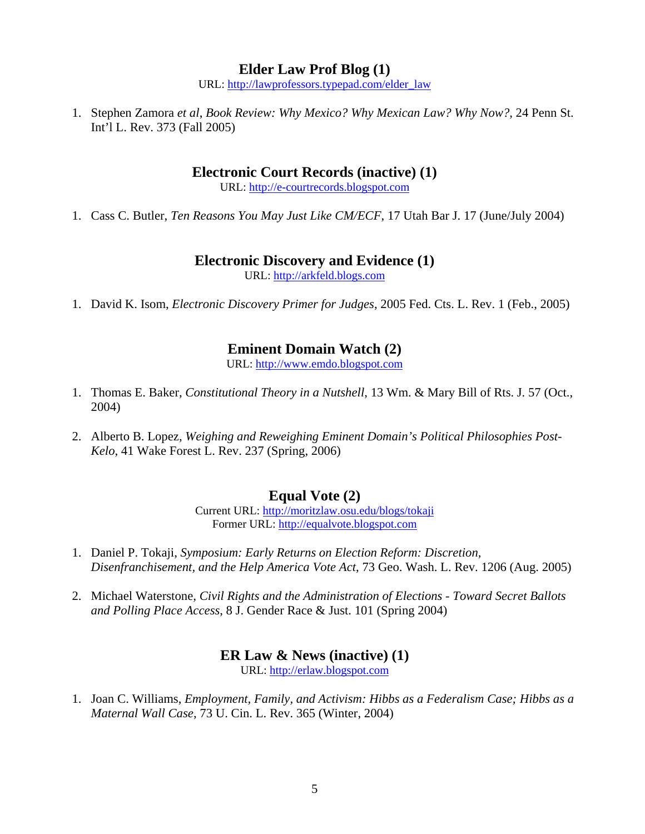### **Elder Law Prof Blog (1)**

URL: [http://lawprofessors.typepad.com/elder\\_law](http://lawprofessors.typepad.com/elder_law)

1. Stephen Zamora *et al*, *Book Review: Why Mexico? Why Mexican Law? Why Now?*, 24 Penn St. Int'l L. Rev. 373 (Fall 2005)

### **Electronic Court Records (inactive) (1)**

URL: [http://e-courtrecords.blogspot.com](http://e-courtrecords.blogspot.com/)

1. Cass C. Butler, *Ten Reasons You May Just Like CM/ECF*, 17 Utah Bar J. 17 (June/July 2004)

#### **Electronic Discovery and Evidence (1)**

URL: [http://arkfeld.blogs.com](http://arkfeld.blogs.com/)

1. David K. Isom, *Electronic Discovery Primer for Judges*, 2005 Fed. Cts. L. Rev. 1 (Feb., 2005)

### **Eminent Domain Watch (2)**

URL: [http://www.emdo.blogspot.com](http://www.emdo.blogspot.com/)

- 1. Thomas E. Baker, *Constitutional Theory in a Nutshell*, 13 Wm. & Mary Bill of Rts. J. 57 (Oct., 2004)
- 2. Alberto B. Lopez, *Weighing and Reweighing Eminent Domain's Political Philosophies Post-Kelo*, 41 Wake Forest L. Rev. 237 (Spring, 2006)

### **Equal Vote (2)**

Current URL: [http://moritzlaw.osu.edu/blogs/tokaji](http://moritzlaw.osu.edu/blogs/tokaji/) Former URL: [http://equalvote.blogspot.com](http://equalvote.blogspot.com/)

- 1. Daniel P. Tokaji, *Symposium: Early Returns on Election Reform: Discretion, Disenfranchisement, and the Help America Vote Act*, 73 Geo. Wash. L. Rev. 1206 (Aug. 2005)
- 2. Michael Waterstone, *Civil Rights and the Administration of Elections Toward Secret Ballots and Polling Place Access*, 8 J. Gender Race & Just. 101 (Spring 2004)

### **ER Law & News (inactive) (1)**

URL: [http://erlaw.blogspot.com](http://erlaw.blogspot.com/)

1. Joan C. Williams, *Employment, Family, and Activism: Hibbs as a Federalism Case; Hibbs as a Maternal Wall Case*, 73 U. Cin. L. Rev. 365 (Winter, 2004)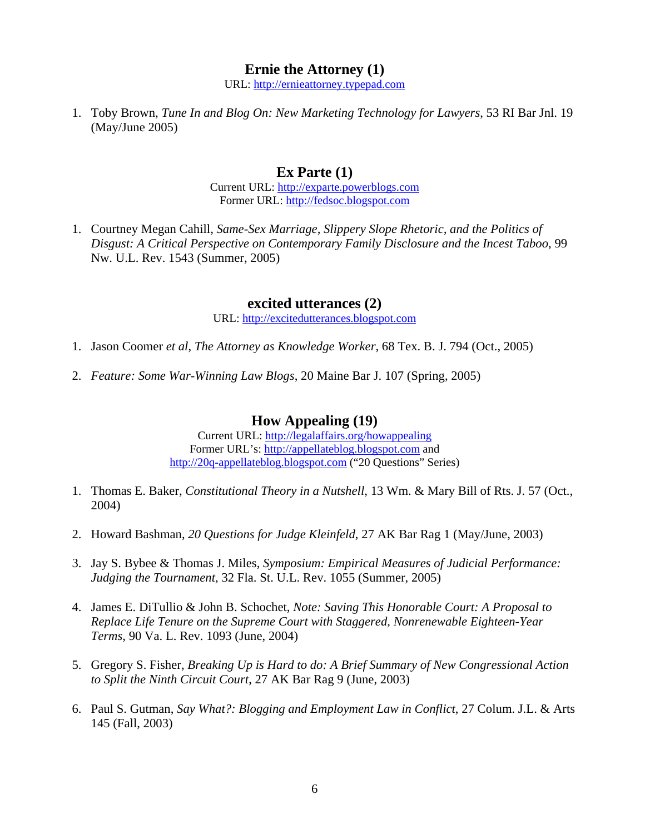### **Ernie the Attorney (1)**

URL: [http://ernieattorney.typepad.com](http://ernieattorney.typepad.com/)

1. Toby Brown, *Tune In and Blog On: New Marketing Technology for Lawyers*, 53 RI Bar Jnl. 19 (May/June 2005)

#### **Ex Parte (1)**

Current URL: [http://exparte.powerblogs.com](http://exparte.powerblogs.com/) Former URL: [http://fedsoc.blogspot.com](http://fedsoc.blogspot.com/)

1. Courtney Megan Cahill, *Same-Sex Marriage, Slippery Slope Rhetoric, and the Politics of Disgust: A Critical Perspective on Contemporary Family Disclosure and the Incest Taboo*, 99 Nw. U.L. Rev. 1543 (Summer, 2005)

#### **excited utterances (2)**

URL: [http://excitedutterances.blogspot.com](http://excitedutterances.blogspot.com/)

- 1. Jason Coomer *et al*, *The Attorney as Knowledge Worker*, 68 Tex. B. J. 794 (Oct., 2005)
- 2. *Feature: Some War-Winning Law Blogs*, 20 Maine Bar J. 107 (Spring, 2005)

#### **How Appealing (19)**

Current URL: [http://legalaffairs.org/howappealing](http://legalaffairs.org/howappealing/) Former URL's: [http://appellateblog.blogspot.com](http://appellateblog.blogspot.com/) and [http://20q-appellateblog.blogspot.com](http://20q-appellateblog.blogspot.com/) ("20 Questions" Series)

- 1. Thomas E. Baker, *Constitutional Theory in a Nutshell*, 13 Wm. & Mary Bill of Rts. J. 57 (Oct., 2004)
- 2. Howard Bashman, *20 Questions for Judge Kleinfeld*, 27 AK Bar Rag 1 (May/June, 2003)
- 3. Jay S. Bybee & Thomas J. Miles, *Symposium: Empirical Measures of Judicial Performance: Judging the Tournament*, 32 Fla. St. U.L. Rev. 1055 (Summer, 2005)
- 4. James E. DiTullio & John B. Schochet, *Note: Saving This Honorable Court: A Proposal to Replace Life Tenure on the Supreme Court with Staggered, Nonrenewable Eighteen-Year Terms*, 90 Va. L. Rev. 1093 (June, 2004)
- 5. Gregory S. Fisher, *Breaking Up is Hard to do: A Brief Summary of New Congressional Action to Split the Ninth Circuit Court*, 27 AK Bar Rag 9 (June, 2003)
- 6. Paul S. Gutman, *Say What?: Blogging and Employment Law in Conflict*, 27 Colum. J.L. & Arts 145 (Fall, 2003)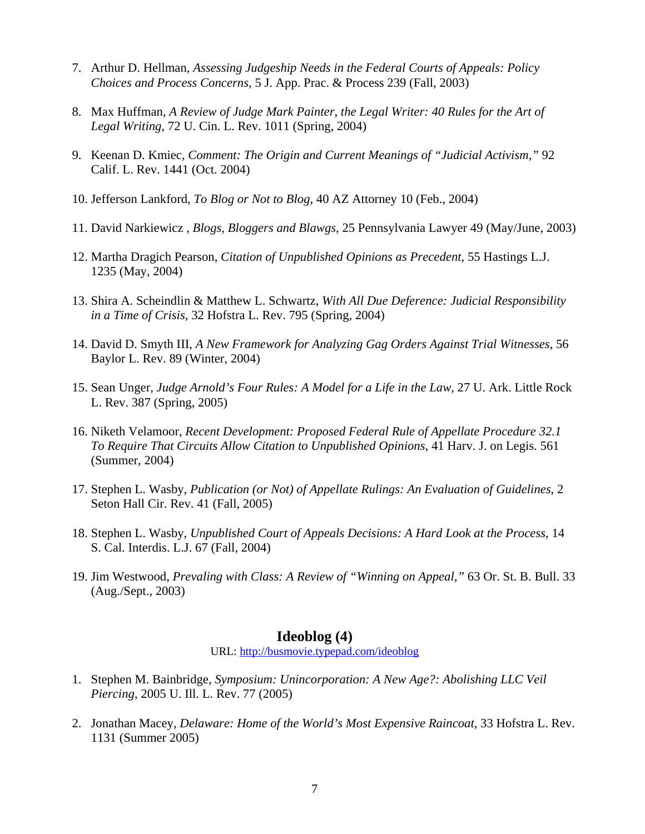- 7. Arthur D. Hellman, *Assessing Judgeship Needs in the Federal Courts of Appeals: Policy Choices and Process Concerns*, 5 J. App. Prac. & Process 239 (Fall, 2003)
- 8. Max Huffman, *A Review of Judge Mark Painter, the Legal Writer: 40 Rules for the Art of Legal Writing*, 72 U. Cin. L. Rev. 1011 (Spring, 2004)
- 9. Keenan D. Kmiec, *Comment: The Origin and Current Meanings of "Judicial Activism,"* 92 Calif. L. Rev. 1441 (Oct. 2004)
- 10. Jefferson Lankford, *To Blog or Not to Blog*, 40 AZ Attorney 10 (Feb., 2004)
- 11. David Narkiewicz , *Blogs, Bloggers and Blawgs*, 25 Pennsylvania Lawyer 49 (May/June, 2003)
- 12. Martha Dragich Pearson, *Citation of Unpublished Opinions as Precedent*, 55 Hastings L.J. 1235 (May, 2004)
- 13. Shira A. Scheindlin & Matthew L. Schwartz, *With All Due Deference: Judicial Responsibility in a Time of Crisis*, 32 Hofstra L. Rev. 795 (Spring, 2004)
- 14. David D. Smyth III, *A New Framework for Analyzing Gag Orders Against Trial Witnesses*, 56 Baylor L. Rev. 89 (Winter, 2004)
- 15. Sean Unger, *Judge Arnold's Four Rules: A Model for a Life in the Law*, 27 U. Ark. Little Rock L. Rev. 387 (Spring, 2005)
- 16. Niketh Velamoor, *Recent Development: Proposed Federal Rule of Appellate Procedure 32.1 To Require That Circuits Allow Citation to Unpublished Opinions*, 41 Harv. J. on Legis. 561 (Summer, 2004)
- 17. Stephen L. Wasby, *Publication (or Not) of Appellate Rulings: An Evaluation of Guidelines*, 2 Seton Hall Cir. Rev. 41 (Fall, 2005)
- 18. Stephen L. Wasby, *Unpublished Court of Appeals Decisions: A Hard Look at the Process*, 14 S. Cal. Interdis. L.J. 67 (Fall, 2004)
- 19. Jim Westwood, *Prevaling with Class: A Review of "Winning on Appeal,"* 63 Or. St. B. Bull. 33 (Aug./Sept., 2003)

### **Ideoblog (4)**

URL: <http://busmovie.typepad.com/ideoblog>

- 1. Stephen M. Bainbridge*, Symposium: Unincorporation: A New Age?: Abolishing LLC Veil Piercing*, 2005 U. Ill. L. Rev. 77 (2005)
- 2. Jonathan Macey, *Delaware: Home of the World's Most Expensive Raincoat*, 33 Hofstra L. Rev. 1131 (Summer 2005)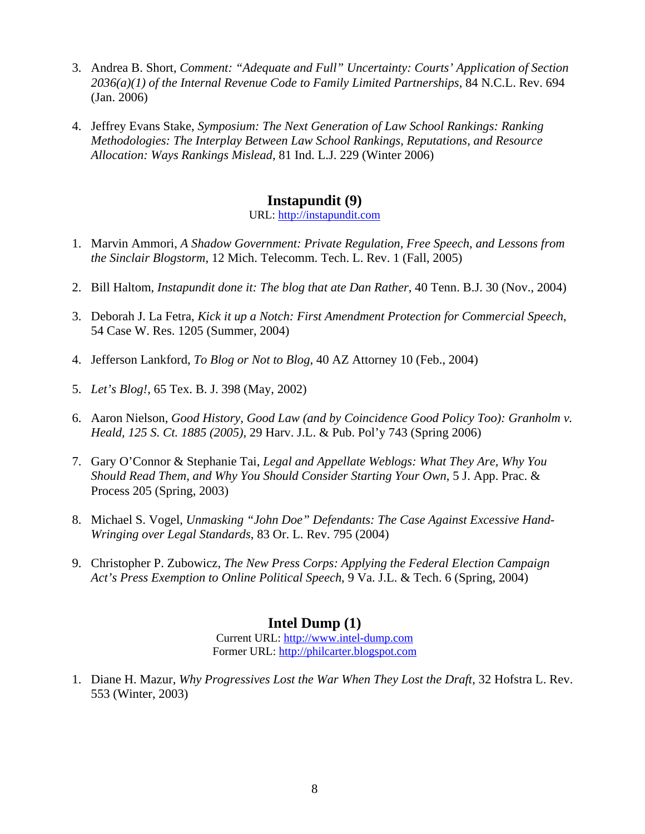- 3. Andrea B. Short, *Comment: "Adequate and Full" Uncertainty: Courts' Application of Section 2036(a)(1) of the Internal Revenue Code to Family Limited Partnerships*, 84 N.C.L. Rev. 694 (Jan. 2006)
- 4. Jeffrey Evans Stake, *Symposium: The Next Generation of Law School Rankings: Ranking Methodologies: The Interplay Between Law School Rankings, Reputations, and Resource Allocation: Ways Rankings Mislead*, 81 Ind. L.J. 229 (Winter 2006)

### **Instapundit (9)**

URL: [http://instapundit.com](http://instapundit.com/)

- 1. Marvin Ammori, *A Shadow Government: Private Regulation, Free Speech, and Lessons from the Sinclair Blogstorm*, 12 Mich. Telecomm. Tech. L. Rev. 1 (Fall, 2005)
- 2. Bill Haltom, *Instapundit done it: The blog that ate Dan Rather*, 40 Tenn. B.J. 30 (Nov., 2004)
- 3. Deborah J. La Fetra, *Kick it up a Notch: First Amendment Protection for Commercial Speech*, 54 Case W. Res. 1205 (Summer, 2004)
- 4. Jefferson Lankford, *To Blog or Not to Blog*, 40 AZ Attorney 10 (Feb., 2004)
- 5. *Let's Blog!*, 65 Tex. B. J. 398 (May, 2002)
- 6. Aaron Nielson, *Good History, Good Law (and by Coincidence Good Policy Too): Granholm v. Heald, 125 S. Ct. 1885 (2005)*, 29 Harv. J.L. & Pub. Pol'y 743 (Spring 2006)
- 7. Gary O'Connor & Stephanie Tai, *Legal and Appellate Weblogs: What They Are, Why You Should Read Them, and Why You Should Consider Starting Your Own*, 5 J. App. Prac. & Process 205 (Spring, 2003)
- 8. Michael S. Vogel, *Unmasking "John Doe" Defendants: The Case Against Excessive Hand-Wringing over Legal Standards*, 83 Or. L. Rev. 795 (2004)
- 9. Christopher P. Zubowicz, *The New Press Corps: Applying the Federal Election Campaign Act's Press Exemption to Online Political Speech*, 9 Va. J.L. & Tech. 6 (Spring, 2004)

### **Intel Dump (1)**

Current URL: [http://www.intel-dump.com](http://www.intel-dump.com/) Former URL: [http://philcarter.blogspot.com](http://philcarter.blogspot.com/)

1. Diane H. Mazur, *Why Progressives Lost the War When They Lost the Draft*, 32 Hofstra L. Rev. 553 (Winter, 2003)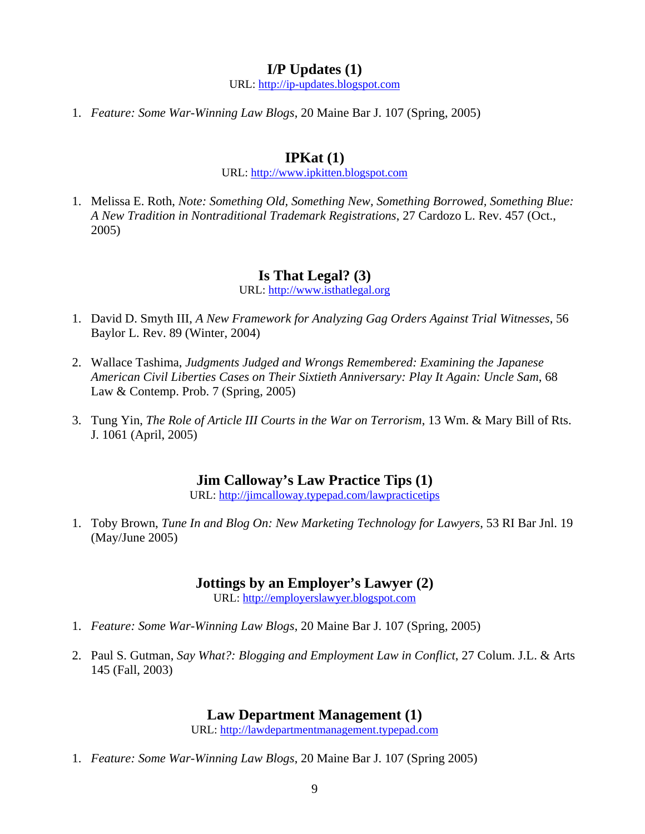#### **I/P Updates (1)**

URL: [http://ip-updates.blogspot.com](http://ip-updates.blogspot.com/)

1. *Feature: Some War-Winning Law Blogs*, 20 Maine Bar J. 107 (Spring, 2005)

### **IPKat (1)**

URL: [http://www.ipkitten.blogspot.com](http://www.ipkitten.blogspot.com/)

1. Melissa E. Roth, *Note: Something Old, Something New, Something Borrowed, Something Blue: A New Tradition in Nontraditional Trademark Registrations*, 27 Cardozo L. Rev. 457 (Oct., 2005)

### **Is That Legal? (3)**

URL: [http://www.isthatlegal.org](http://www.isthatlegal.org/)

- 1. David D. Smyth III, *A New Framework for Analyzing Gag Orders Against Trial Witnesses*, 56 Baylor L. Rev. 89 (Winter, 2004)
- 2. Wallace Tashima, *Judgments Judged and Wrongs Remembered: Examining the Japanese American Civil Liberties Cases on Their Sixtieth Anniversary: Play It Again: Uncle Sam*, 68 Law & Contemp. Prob. 7 (Spring, 2005)
- 3. Tung Yin, *The Role of Article III Courts in the War on Terrorism*, 13 Wm. & Mary Bill of Rts. J. 1061 (April, 2005)

### **Jim Calloway's Law Practice Tips (1)**

URL: <http://jimcalloway.typepad.com/lawpracticetips>

1. Toby Brown, *Tune In and Blog On: New Marketing Technology for Lawyers*, 53 RI Bar Jnl. 19 (May/June 2005)

### **Jottings by an Employer's Lawyer (2)**

URL: [http://employerslawyer.blogspot.com](http://employerslawyer.blogspot.com/)

- 1. *Feature: Some War-Winning Law Blogs*, 20 Maine Bar J. 107 (Spring, 2005)
- 2. Paul S. Gutman, *Say What?: Blogging and Employment Law in Conflict*, 27 Colum. J.L. & Arts 145 (Fall, 2003)

### **Law Department Management (1)**

URL: [http://lawdepartmentmanagement.typepad.com](http://lawdepartmentmanagement.typepad.com/)

1. *Feature: Some War-Winning Law Blogs*, 20 Maine Bar J. 107 (Spring 2005)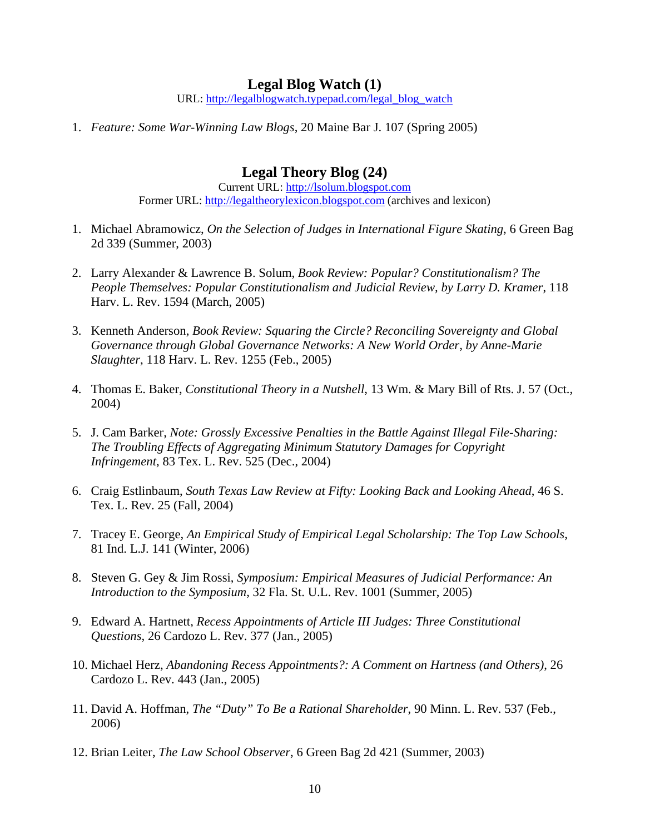#### **Legal Blog Watch (1)**

URL: [http://legalblogwatch.typepad.com/legal\\_blog\\_watch](http://legalblogwatch.typepad.com/legal_blog_watch)

1. *Feature: Some War-Winning Law Blogs*, 20 Maine Bar J. 107 (Spring 2005)

### **Legal Theory Blog (24)**

Current URL: [http://lsolum.blogspot.com](http://lsolum.blogspot.com/) Former URL: [http://legaltheorylexicon.blogspot.com](http://legaltheorylexicon.blogspot.com/) (archives and lexicon)

- 1. Michael Abramowicz, *On the Selection of Judges in International Figure Skating*, 6 Green Bag 2d 339 (Summer, 2003)
- 2. Larry Alexander & Lawrence B. Solum, *Book Review: Popular? Constitutionalism? The People Themselves: Popular Constitutionalism and Judicial Review, by Larry D. Kramer*, 118 Harv. L. Rev. 1594 (March, 2005)
- 3. Kenneth Anderson, *Book Review: Squaring the Circle? Reconciling Sovereignty and Global Governance through Global Governance Networks: A New World Order, by Anne-Marie Slaughter*, 118 Harv. L. Rev. 1255 (Feb., 2005)
- 4. Thomas E. Baker, *Constitutional Theory in a Nutshell*, 13 Wm. & Mary Bill of Rts. J. 57 (Oct., 2004)
- 5. J. Cam Barker, *Note: Grossly Excessive Penalties in the Battle Against Illegal File-Sharing: The Troubling Effects of Aggregating Minimum Statutory Damages for Copyright Infringement*, 83 Tex. L. Rev. 525 (Dec., 2004)
- 6. Craig Estlinbaum, *South Texas Law Review at Fifty: Looking Back and Looking Ahead*, 46 S. Tex. L. Rev. 25 (Fall, 2004)
- 7. Tracey E. George, *An Empirical Study of Empirical Legal Scholarship: The Top Law Schools*, 81 Ind. L.J. 141 (Winter, 2006)
- 8. Steven G. Gey & Jim Rossi, *Symposium: Empirical Measures of Judicial Performance: An Introduction to the Symposium*, 32 Fla. St. U.L. Rev. 1001 (Summer, 2005)
- 9. Edward A. Hartnett, *Recess Appointments of Article III Judges: Three Constitutional Questions*, 26 Cardozo L. Rev. 377 (Jan., 2005)
- 10. Michael Herz, *Abandoning Recess Appointments?: A Comment on Hartness (and Others)*, 26 Cardozo L. Rev. 443 (Jan., 2005)
- 11. David A. Hoffman, *The "Duty" To Be a Rational Shareholder*, 90 Minn. L. Rev. 537 (Feb., 2006)
- 12. Brian Leiter, *The Law School Observer*, 6 Green Bag 2d 421 (Summer, 2003)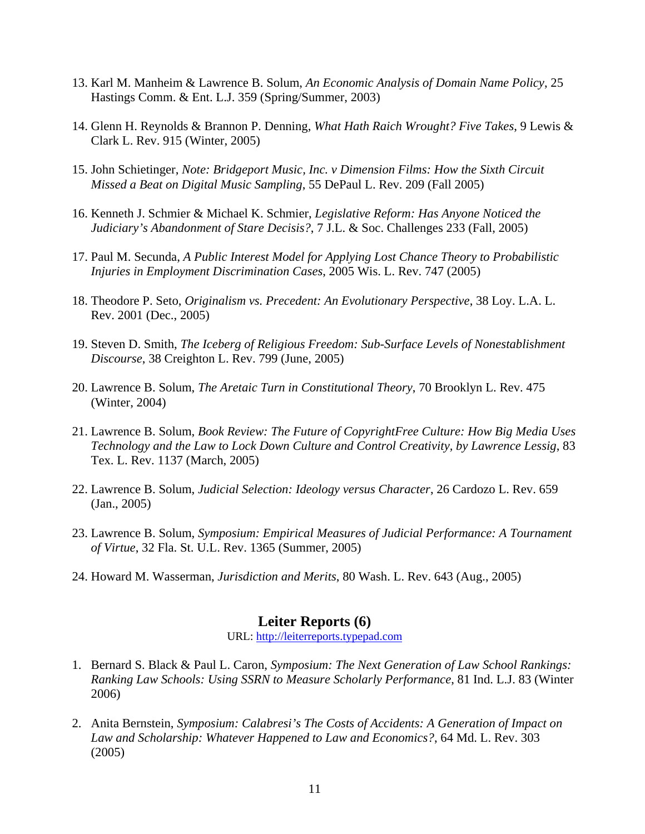- 13. Karl M. Manheim & Lawrence B. Solum, *An Economic Analysis of Domain Name Policy*, 25 Hastings Comm. & Ent. L.J. 359 (Spring/Summer, 2003)
- 14. Glenn H. Reynolds & Brannon P. Denning, *What Hath Raich Wrought? Five Takes*, 9 Lewis & Clark L. Rev. 915 (Winter, 2005)
- 15. John Schietinger, *Note: Bridgeport Music, Inc. v Dimension Films: How the Sixth Circuit Missed a Beat on Digital Music Sampling*, 55 DePaul L. Rev. 209 (Fall 2005)
- 16. Kenneth J. Schmier & Michael K. Schmier, *Legislative Reform: Has Anyone Noticed the Judiciary's Abandonment of Stare Decisis?*, 7 J.L. & Soc. Challenges 233 (Fall, 2005)
- 17. Paul M. Secunda, *A Public Interest Model for Applying Lost Chance Theory to Probabilistic Injuries in Employment Discrimination Cases*, 2005 Wis. L. Rev. 747 (2005)
- 18. Theodore P. Seto, *Originalism vs. Precedent: An Evolutionary Perspective*, 38 Loy. L.A. L. Rev. 2001 (Dec., 2005)
- 19. Steven D. Smith, *The Iceberg of Religious Freedom: Sub-Surface Levels of Nonestablishment Discourse*, 38 Creighton L. Rev. 799 (June, 2005)
- 20. Lawrence B. Solum, *The Aretaic Turn in Constitutional Theory*, 70 Brooklyn L. Rev. 475 (Winter, 2004)
- 21. Lawrence B. Solum, *Book Review: The Future of CopyrightFree Culture: How Big Media Uses Technology and the Law to Lock Down Culture and Control Creativity, by Lawrence Lessig*, 83 Tex. L. Rev. 1137 (March, 2005)
- 22. Lawrence B. Solum, *Judicial Selection: Ideology versus Character*, 26 Cardozo L. Rev. 659 (Jan., 2005)
- 23. Lawrence B. Solum, *Symposium: Empirical Measures of Judicial Performance: A Tournament of Virtue*, 32 Fla. St. U.L. Rev. 1365 (Summer, 2005)
- 24. Howard M. Wasserman, *Jurisdiction and Merits*, 80 Wash. L. Rev. 643 (Aug., 2005)

### **Leiter Reports (6)**

URL: [http://leiterreports.typepad.com](http://leiterreports.typepad.com/)

- 1. Bernard S. Black & Paul L. Caron, *Symposium: The Next Generation of Law School Rankings: Ranking Law Schools: Using SSRN to Measure Scholarly Performance*, 81 Ind. L.J. 83 (Winter 2006)
- 2. Anita Bernstein, *Symposium: Calabresi's The Costs of Accidents: A Generation of Impact on Law and Scholarship: Whatever Happened to Law and Economics?*, 64 Md. L. Rev. 303 (2005)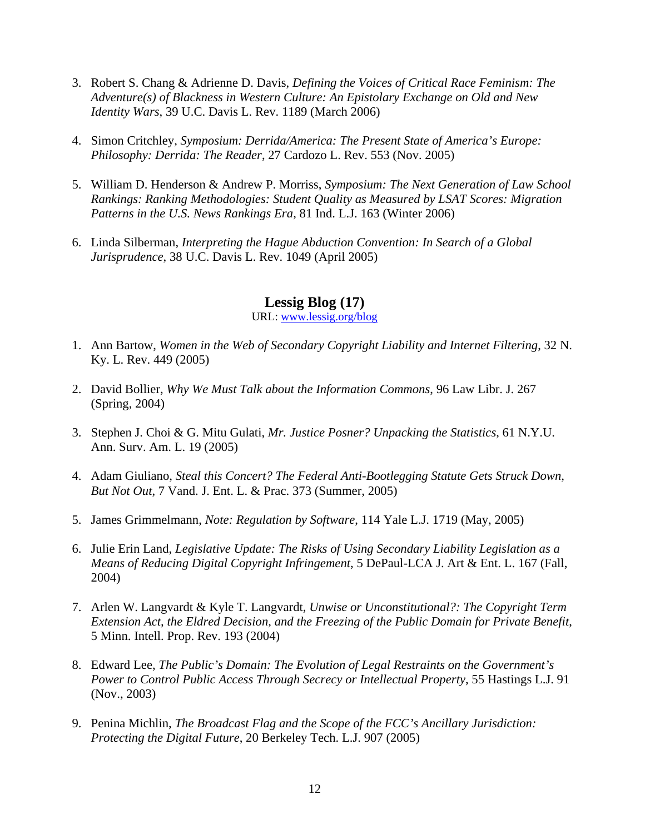- 3. Robert S. Chang & Adrienne D. Davis, *Defining the Voices of Critical Race Feminism: The Adventure(s) of Blackness in Western Culture: An Epistolary Exchange on Old and New Identity Wars*, 39 U.C. Davis L. Rev. 1189 (March 2006)
- 4. Simon Critchley, *Symposium: Derrida/America: The Present State of America's Europe: Philosophy: Derrida: The Reader*, 27 Cardozo L. Rev. 553 (Nov. 2005)
- 5. William D. Henderson & Andrew P. Morriss, *Symposium: The Next Generation of Law School Rankings: Ranking Methodologies: Student Quality as Measured by LSAT Scores: Migration Patterns in the U.S. News Rankings Era*, 81 Ind. L.J. 163 (Winter 2006)
- 6. Linda Silberman, *Interpreting the Hague Abduction Convention: In Search of a Global Jurisprudence*, 38 U.C. Davis L. Rev. 1049 (April 2005)

### **Lessig Blog (17)**

URL: [www.lessig.org/blog](http://www.lessig.org/blog)

- 1. Ann Bartow, *Women in the Web of Secondary Copyright Liability and Internet Filtering*, 32 N. Ky. L. Rev. 449 (2005)
- 2. David Bollier, *Why We Must Talk about the Information Commons*, 96 Law Libr. J. 267 (Spring, 2004)
- 3. Stephen J. Choi & G. Mitu Gulati, *Mr. Justice Posner? Unpacking the Statistics*, 61 N.Y.U. Ann. Surv. Am. L. 19 (2005)
- 4. Adam Giuliano, *Steal this Concert? The Federal Anti-Bootlegging Statute Gets Struck Down, But Not Out*, 7 Vand. J. Ent. L. & Prac. 373 (Summer, 2005)
- 5. James Grimmelmann, *Note: Regulation by Software*, 114 Yale L.J. 1719 (May, 2005)
- 6. Julie Erin Land, *Legislative Update: The Risks of Using Secondary Liability Legislation as a Means of Reducing Digital Copyright Infringement*, 5 DePaul-LCA J. Art & Ent. L. 167 (Fall, 2004)
- 7. Arlen W. Langvardt & Kyle T. Langvardt, *Unwise or Unconstitutional?: The Copyright Term Extension Act, the Eldred Decision, and the Freezing of the Public Domain for Private Benefit*, 5 Minn. Intell. Prop. Rev. 193 (2004)
- 8. Edward Lee, *The Public's Domain: The Evolution of Legal Restraints on the Government's Power to Control Public Access Through Secrecy or Intellectual Property*, 55 Hastings L.J. 91 (Nov., 2003)
- 9. Penina Michlin, *The Broadcast Flag and the Scope of the FCC's Ancillary Jurisdiction: Protecting the Digital Future*, 20 Berkeley Tech. L.J. 907 (2005)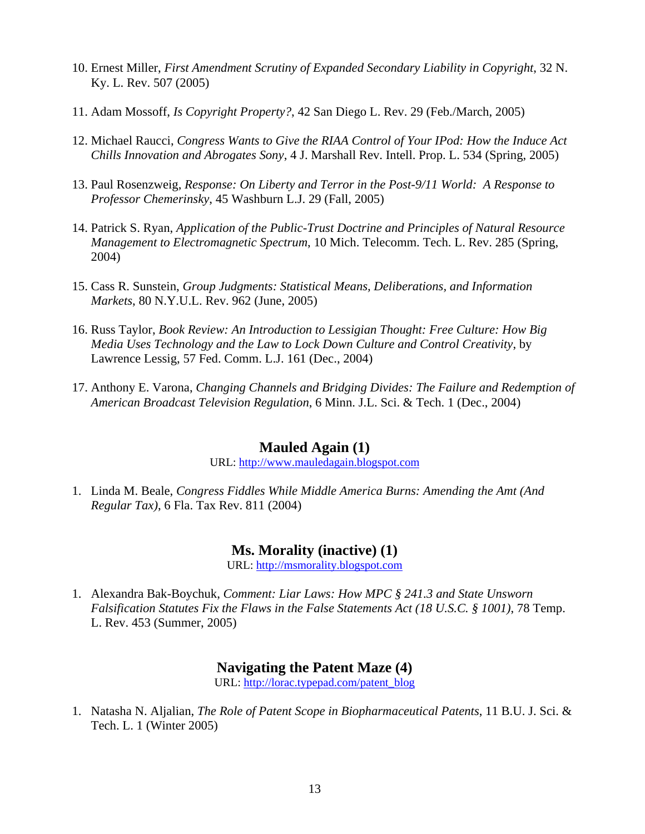- 10. Ernest Miller, *First Amendment Scrutiny of Expanded Secondary Liability in Copyright*, 32 N. Ky. L. Rev. 507 (2005)
- 11. Adam Mossoff, *Is Copyright Property?*, 42 San Diego L. Rev. 29 (Feb./March, 2005)
- 12. Michael Raucci, *Congress Wants to Give the RIAA Control of Your IPod: How the Induce Act Chills Innovation and Abrogates Sony*, 4 J. Marshall Rev. Intell. Prop. L. 534 (Spring, 2005)
- 13. Paul Rosenzweig, *Response: On Liberty and Terror in the Post-9/11 World: A Response to Professor Chemerinsky*, 45 Washburn L.J. 29 (Fall, 2005)
- 14. Patrick S. Ryan, *Application of the Public-Trust Doctrine and Principles of Natural Resource Management to Electromagnetic Spectrum*, 10 Mich. Telecomm. Tech. L. Rev. 285 (Spring, 2004)
- 15. Cass R. Sunstein, *Group Judgments: Statistical Means, Deliberations, and Information Markets*, 80 N.Y.U.L. Rev. 962 (June, 2005)
- 16. Russ Taylor, *Book Review: An Introduction to Lessigian Thought: Free Culture: How Big Media Uses Technology and the Law to Lock Down Culture and Control Creativity*, by Lawrence Lessig, 57 Fed. Comm. L.J. 161 (Dec., 2004)
- 17. Anthony E. Varona, *Changing Channels and Bridging Divides: The Failure and Redemption of American Broadcast Television Regulation*, 6 Minn. J.L. Sci. & Tech. 1 (Dec., 2004)

### **Mauled Again (1)**

URL: [http://www.mauledagain.blogspot.com](http://www.mauledagain.blogspot.com/)

1. Linda M. Beale, *Congress Fiddles While Middle America Burns: Amending the Amt (And Regular Tax)*, 6 Fla. Tax Rev. 811 (2004)

### **Ms. Morality (inactive) (1)**

URL: [http://msmorality.blogspot.com](http://msmorality.blogspot.com/)

1. Alexandra Bak-Boychuk, *Comment: Liar Laws: How MPC § 241.3 and State Unsworn Falsification Statutes Fix the Flaws in the False Statements Act (18 U.S.C. § 1001)*, 78 Temp. L. Rev. 453 (Summer, 2005)

### **Navigating the Patent Maze (4)**

URL: [http://lorac.typepad.com/patent\\_blog](http://lorac.typepad.com/patent_blog/)

1. Natasha N. Aljalian, *The Role of Patent Scope in Biopharmaceutical Patents*, 11 B.U. J. Sci. & Tech. L. 1 (Winter 2005)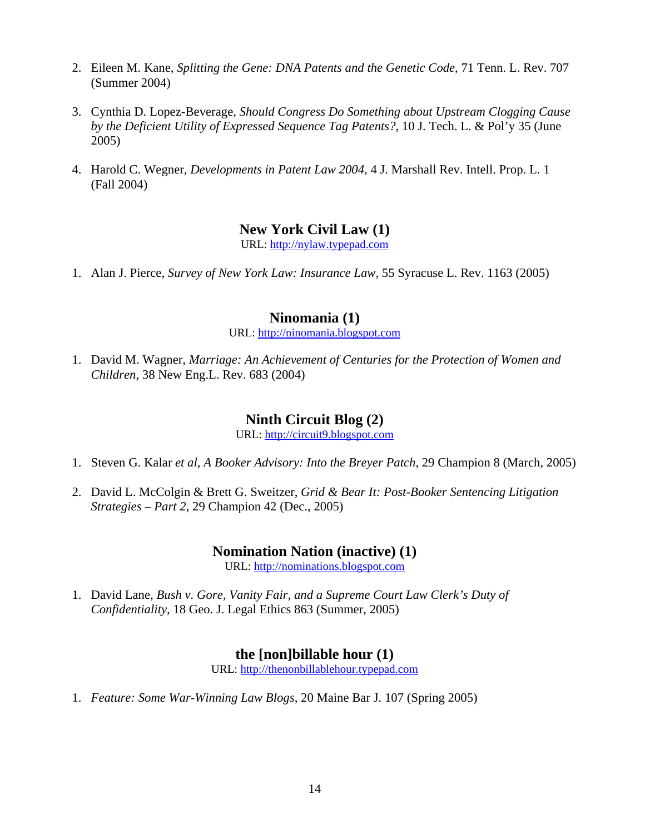- 2. Eileen M. Kane, *Splitting the Gene: DNA Patents and the Genetic Code*, 71 Tenn. L. Rev. 707 (Summer 2004)
- 3. Cynthia D. Lopez-Beverage, *Should Congress Do Something about Upstream Clogging Cause by the Deficient Utility of Expressed Sequence Tag Patents?*, 10 J. Tech. L. & Pol'y 35 (June 2005)
- 4. Harold C. Wegner, *Developments in Patent Law 2004*, 4 J. Marshall Rev. Intell. Prop. L. 1 (Fall 2004)

### **New York Civil Law (1)**

URL: [http://nylaw.typepad.com](http://nylaw.typepad.com/)

1. Alan J. Pierce, *Survey of New York Law: Insurance Law*, 55 Syracuse L. Rev. 1163 (2005)

### **Ninomania (1)**

URL: [http://ninomania.blogspot.com](http://ninomania.blogspot.com/)

1. David M. Wagner, *Marriage: An Achievement of Centuries for the Protection of Women and Children*, 38 New Eng.L. Rev. 683 (2004)

### **Ninth Circuit Blog (2)**

URL: [http://circuit9.blogspot.com](http://circuit9.blogspot.com/)

- 1. Steven G. Kalar *et al*, *A Booker Advisory: Into the Breyer Patch*, 29 Champion 8 (March, 2005)
- 2. David L. McColgin & Brett G. Sweitzer, *Grid & Bear It: Post-Booker Sentencing Litigation Strategies – Part 2*, 29 Champion 42 (Dec., 2005)

### **Nomination Nation (inactive) (1)**

URL: [http://nominations.blogspot.com](http://nominations.blogspot.com/)

1. David Lane, *Bush v. Gore, Vanity Fair, and a Supreme Court Law Clerk's Duty of Confidentiality*, 18 Geo. J. Legal Ethics 863 (Summer, 2005)

### **the [non]billable hour (1)**

URL: [http://thenonbillablehour.typepad.com](http://thenonbillablehour.typepad.com/)

1. *Feature: Some War-Winning Law Blogs*, 20 Maine Bar J. 107 (Spring 2005)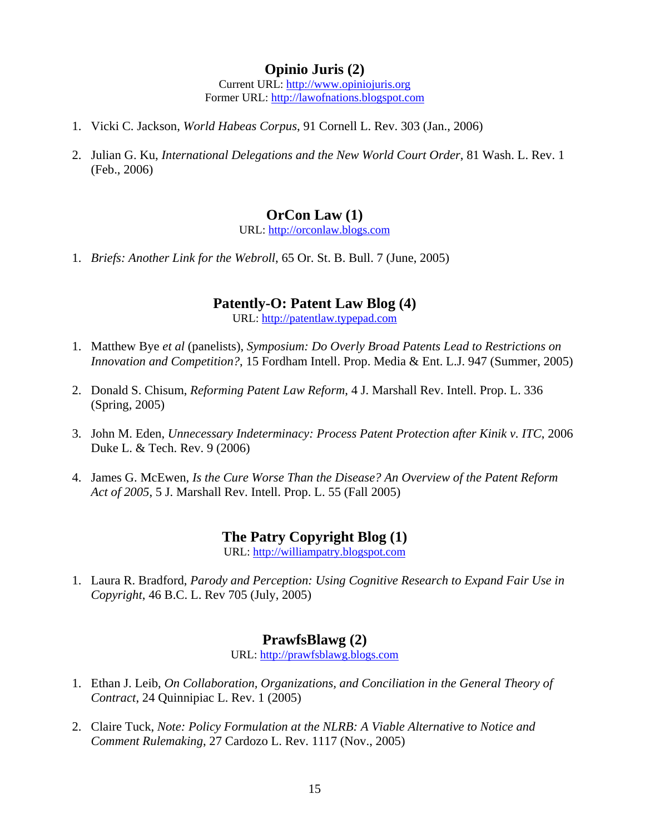### **Opinio Juris (2)**

Current URL: [http://www.opiniojuris.org](http://www.opiniojuris.org/) Former URL: [http://lawofnations.blogspot.com](http://lawofnations.blogspot.com/)

- 1. Vicki C. Jackson, *World Habeas Corpus*, 91 Cornell L. Rev. 303 (Jan., 2006)
- 2. Julian G. Ku, *International Delegations and the New World Court Order*, 81 Wash. L. Rev. 1 (Feb., 2006)

#### **OrCon Law (1)**

URL: [http://orconlaw.blogs.com](http://orconlaw.blogs.com/)

1. *Briefs: Another Link for the Webroll*, 65 Or. St. B. Bull. 7 (June, 2005)

#### **Patently-O: Patent Law Blog (4)**

URL: [http://patentlaw.typepad.com](http://patentlaw.typepad.com/)

- 1. Matthew Bye *et al* (panelists), *Symposium: Do Overly Broad Patents Lead to Restrictions on Innovation and Competition?*, 15 Fordham Intell. Prop. Media & Ent. L.J. 947 (Summer, 2005)
- 2. Donald S. Chisum, *Reforming Patent Law Reform*, 4 J. Marshall Rev. Intell. Prop. L. 336 (Spring, 2005)
- 3. John M. Eden, *Unnecessary Indeterminacy: Process Patent Protection after Kinik v. ITC*, 2006 Duke L. & Tech. Rev. 9 (2006)
- 4. James G. McEwen, *Is the Cure Worse Than the Disease? An Overview of the Patent Reform Act of 2005*, 5 J. Marshall Rev. Intell. Prop. L. 55 (Fall 2005)

### **The Patry Copyright Blog (1)**

URL: [http://williampatry.blogspot.com](http://williampatry.blogspot.com/)

1. Laura R. Bradford, *Parody and Perception: Using Cognitive Research to Expand Fair Use in Copyright*, 46 B.C. L. Rev 705 (July, 2005)

#### **PrawfsBlawg (2)**

URL: [http://prawfsblawg.blogs.com](http://prawfsblawg.blogs.com/)

- 1. Ethan J. Leib, *On Collaboration, Organizations, and Conciliation in the General Theory of Contract*, 24 Quinnipiac L. Rev. 1 (2005)
- 2. Claire Tuck, *Note: Policy Formulation at the NLRB: A Viable Alternative to Notice and Comment Rulemaking*, 27 Cardozo L. Rev. 1117 (Nov., 2005)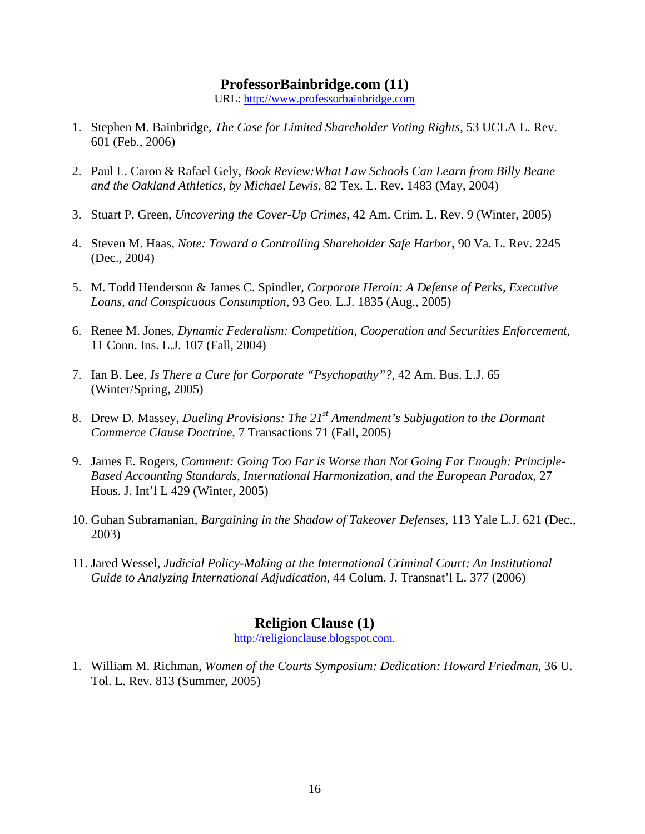#### **ProfessorBainbridge.com (11)**

URL: [http://www.professorbainbridge.com](http://www.professorbainbridge.com/)

- 1. Stephen M. Bainbridge, *The Case for Limited Shareholder Voting Rights*, 53 UCLA L. Rev. 601 (Feb., 2006)
- 2. Paul L. Caron & Rafael Gely, *Book Review:What Law Schools Can Learn from Billy Beane and the Oakland Athletics, by Michael Lewis*, 82 Tex. L. Rev. 1483 (May, 2004)
- 3. Stuart P. Green, *Uncovering the Cover-Up Crimes,* 42 Am. Crim. L. Rev. 9 (Winter, 2005)
- 4. Steven M. Haas, *Note: Toward a Controlling Shareholder Safe Harbor*, 90 Va. L. Rev. 2245 (Dec., 2004)
- 5. M. Todd Henderson & James C. Spindler, *Corporate Heroin: A Defense of Perks, Executive Loans, and Conspicuous Consumption*, 93 Geo. L.J. 1835 (Aug., 2005)
- 6. Renee M. Jones, *Dynamic Federalism: Competition, Cooperation and Securities Enforcement*, 11 Conn. Ins. L.J. 107 (Fall, 2004)
- 7. Ian B. Lee, *Is There a Cure for Corporate "Psychopathy"?*, 42 Am. Bus. L.J. 65 (Winter/Spring, 2005)
- 8. Drew D. Massey, *Dueling Provisions: The 21st Amendment's Subjugation to the Dormant Commerce Clause Doctrine*, 7 Transactions 71 (Fall, 2005)
- 9. James E. Rogers, *Comment: Going Too Far is Worse than Not Going Far Enough: Principle-Based Accounting Standards, International Harmonization, and the European Paradox*, 27 Hous. J. Int'l L 429 (Winter, 2005)
- 10. Guhan Subramanian, *Bargaining in the Shadow of Takeover Defenses*, 113 Yale L.J. 621 (Dec., 2003)
- 11. Jared Wessel, *Judicial Policy-Making at the International Criminal Court: An Institutional Guide to Analyzing International Adjudication*, 44 Colum. J. Transnat'l L. 377 (2006)

### **Religion Clause (1)**

[http://religionclause.blogspot.com.](http://religionclause.blogspot.com./)

1. William M. Richman, *Women of the Courts Symposium: Dedication: Howard Friedman*, 36 U. Tol. L. Rev. 813 (Summer, 2005)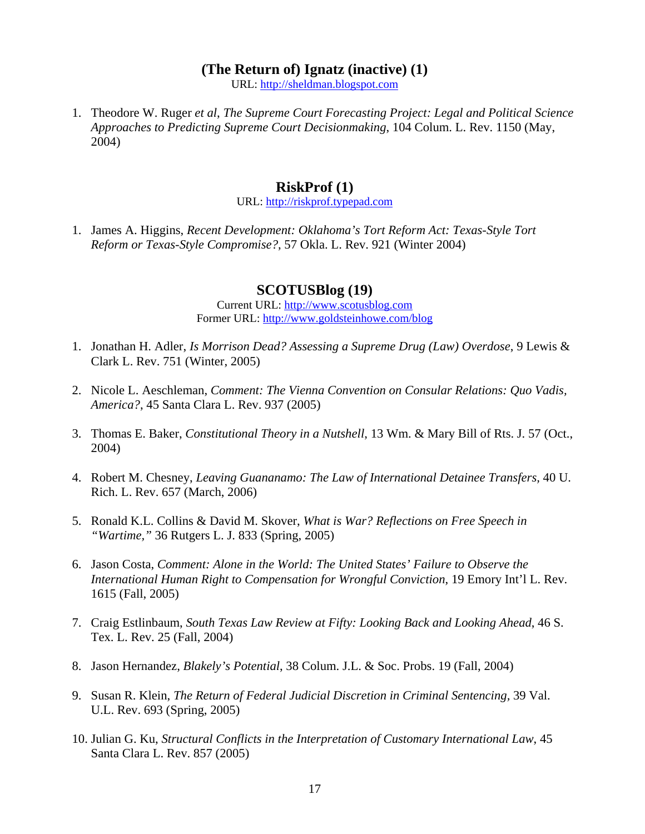#### **(The Return of) Ignatz (inactive) (1)**

URL: [http://sheldman.blogspot.com](http://sheldman.blogspot.com/)

1. Theodore W. Ruger *et al*, *The Supreme Court Forecasting Project: Legal and Political Science Approaches to Predicting Supreme Court Decisionmaking*, 104 Colum. L. Rev. 1150 (May, 2004)

#### **RiskProf (1)**

#### URL: [http://riskprof.typepad.com](http://riskprof.typepad.com/)

1. James A. Higgins, *Recent Development: Oklahoma's Tort Reform Act: Texas-Style Tort Reform or Texas-Style Compromise?*, 57 Okla. L. Rev. 921 (Winter 2004)

#### **SCOTUSBlog (19)**

Current URL: [http://www.scotusblog.com](http://www.scotusblog.com/) Former URL: <http://www.goldsteinhowe.com/blog>

- 1. Jonathan H. Adler, *Is Morrison Dead? Assessing a Supreme Drug (Law) Overdose*, 9 Lewis & Clark L. Rev. 751 (Winter, 2005)
- 2. Nicole L. Aeschleman, *Comment: The Vienna Convention on Consular Relations: Quo Vadis, America?*, 45 Santa Clara L. Rev. 937 (2005)
- 3. Thomas E. Baker, *Constitutional Theory in a Nutshell*, 13 Wm. & Mary Bill of Rts. J. 57 (Oct., 2004)
- 4. Robert M. Chesney, *Leaving Guananamo: The Law of International Detainee Transfers,* 40 U. Rich. L. Rev. 657 (March, 2006)
- 5. Ronald K.L. Collins & David M. Skover, *What is War? Reflections on Free Speech in "Wartime,"* 36 Rutgers L. J. 833 (Spring, 2005)
- 6. Jason Costa, *Comment: Alone in the World: The United States' Failure to Observe the International Human Right to Compensation for Wrongful Conviction*, 19 Emory Int'l L. Rev. 1615 (Fall, 2005)
- 7. Craig Estlinbaum, *South Texas Law Review at Fifty: Looking Back and Looking Ahead*, 46 S. Tex. L. Rev. 25 (Fall, 2004)
- 8. Jason Hernandez, *Blakely's Potential*, 38 Colum. J.L. & Soc. Probs. 19 (Fall, 2004)
- 9. Susan R. Klein, *The Return of Federal Judicial Discretion in Criminal Sentencing,* 39 Val. U.L. Rev. 693 (Spring, 2005)
- 10. Julian G. Ku, *Structural Conflicts in the Interpretation of Customary International Law*, 45 Santa Clara L. Rev. 857 (2005)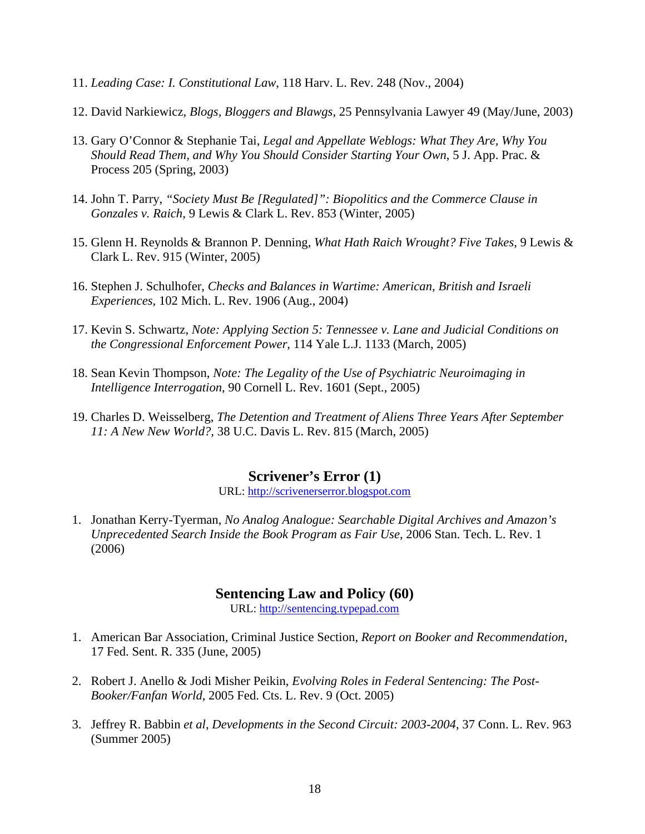- 11. *Leading Case: I. Constitutional Law*, 118 Harv. L. Rev. 248 (Nov., 2004)
- 12. David Narkiewicz, *Blogs, Bloggers and Blawgs*, 25 Pennsylvania Lawyer 49 (May/June, 2003)
- 13. Gary O'Connor & Stephanie Tai, *Legal and Appellate Weblogs: What They Are, Why You Should Read Them, and Why You Should Consider Starting Your Own*, 5 J. App. Prac. & Process 205 (Spring, 2003)
- 14. John T. Parry, *"Society Must Be [Regulated]": Biopolitics and the Commerce Clause in Gonzales v. Raich*, 9 Lewis & Clark L. Rev. 853 (Winter, 2005)
- 15. Glenn H. Reynolds & Brannon P. Denning, *What Hath Raich Wrought? Five Takes*, 9 Lewis & Clark L. Rev. 915 (Winter, 2005)
- 16. Stephen J. Schulhofer, *Checks and Balances in Wartime: American, British and Israeli Experiences*, 102 Mich. L. Rev. 1906 (Aug., 2004)
- 17. Kevin S. Schwartz, *Note: Applying Section 5: Tennessee v. Lane and Judicial Conditions on the Congressional Enforcement Power*, 114 Yale L.J. 1133 (March, 2005)
- 18. Sean Kevin Thompson, *Note: The Legality of the Use of Psychiatric Neuroimaging in Intelligence Interrogation*, 90 Cornell L. Rev. 1601 (Sept., 2005)
- 19. Charles D. Weisselberg, *The Detention and Treatment of Aliens Three Years After September 11: A New New World?,* 38 U.C. Davis L. Rev. 815 (March, 2005)

### **Scrivener's Error (1)**

URL: [http://scrivenerserror.blogspot.com](http://scrivenerserror.blogspot.com/)

1. Jonathan Kerry-Tyerman, *No Analog Analogue: Searchable Digital Archives and Amazon's Unprecedented Search Inside the Book Program as Fair Use*, 2006 Stan. Tech. L. Rev. 1 (2006)

#### **Sentencing Law and Policy (60)**

URL: [http://sentencing.typepad.com](http://sentencing.typepad.com/)

- 1. American Bar Association, Criminal Justice Section, *Report on Booker and Recommendation*, 17 Fed. Sent. R. 335 (June, 2005)
- 2. Robert J. Anello & Jodi Misher Peikin, *Evolving Roles in Federal Sentencing: The Post-Booker/Fanfan World*, 2005 Fed. Cts. L. Rev. 9 (Oct. 2005)
- 3. Jeffrey R. Babbin *et al*, *Developments in the Second Circuit: 2003-2004*, 37 Conn. L. Rev. 963 (Summer 2005)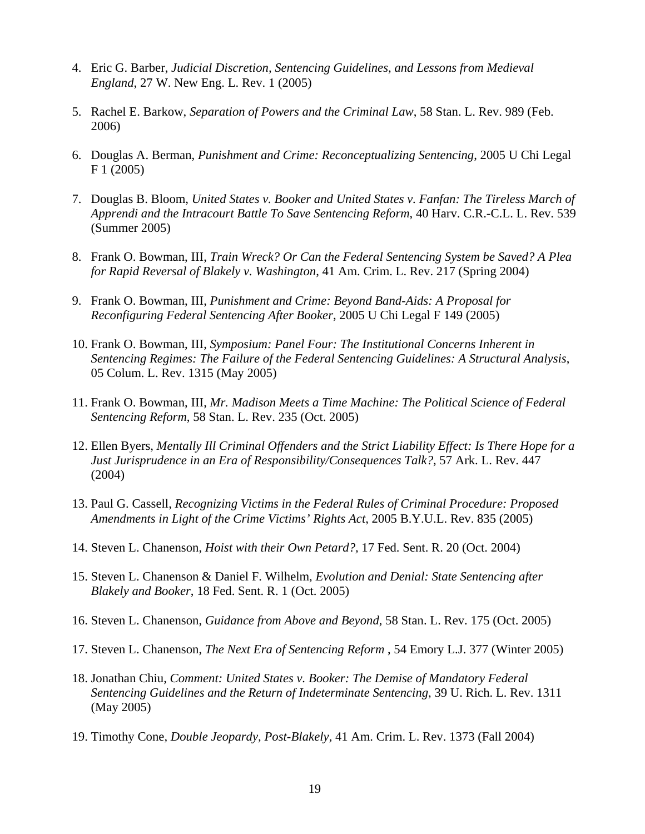- 4. Eric G. Barber, *Judicial Discretion, Sentencing Guidelines, and Lessons from Medieval England*, 27 W. New Eng. L. Rev. 1 (2005)
- 5. Rachel E. Barkow, *Separation of Powers and the Criminal Law*, 58 Stan. L. Rev. 989 (Feb. 2006)
- 6. Douglas A. Berman, *Punishment and Crime: Reconceptualizing Sentencing*, 2005 U Chi Legal F 1 (2005)
- 7. Douglas B. Bloom, *United States v. Booker and United States v. Fanfan: The Tireless March of Apprendi and the Intracourt Battle To Save Sentencing Reform*, 40 Harv. C.R.-C.L. L. Rev. 539 (Summer 2005)
- 8. Frank O. Bowman, III, *Train Wreck? Or Can the Federal Sentencing System be Saved? A Plea for Rapid Reversal of Blakely v. Washington*, 41 Am. Crim. L. Rev. 217 (Spring 2004)
- 9. Frank O. Bowman, III, *Punishment and Crime: Beyond Band-Aids: A Proposal for Reconfiguring Federal Sentencing After Booker*, 2005 U Chi Legal F 149 (2005)
- 10. Frank O. Bowman, III, *Symposium: Panel Four: The Institutional Concerns Inherent in Sentencing Regimes: The Failure of the Federal Sentencing Guidelines: A Structural Analysis*, 05 Colum. L. Rev. 1315 (May 2005)
- 11. Frank O. Bowman, III, *Mr. Madison Meets a Time Machine: The Political Science of Federal Sentencing Reform*, 58 Stan. L. Rev. 235 (Oct. 2005)
- 12. Ellen Byers, *Mentally Ill Criminal Offenders and the Strict Liability Effect: Is There Hope for a Just Jurisprudence in an Era of Responsibility/Consequences Talk?*, 57 Ark. L. Rev. 447 (2004)
- 13. Paul G. Cassell, *Recognizing Victims in the Federal Rules of Criminal Procedure: Proposed Amendments in Light of the Crime Victims' Rights Act*, 2005 B.Y.U.L. Rev. 835 (2005)
- 14. Steven L. Chanenson, *Hoist with their Own Petard?,* 17 Fed. Sent. R. 20 (Oct. 2004)
- 15. Steven L. Chanenson & Daniel F. Wilhelm, *Evolution and Denial: State Sentencing after Blakely and Booker*, 18 Fed. Sent. R. 1 (Oct. 2005)
- 16. Steven L. Chanenson, *Guidance from Above and Beyond*, 58 Stan. L. Rev. 175 (Oct. 2005)
- 17. Steven L. Chanenson, *The Next Era of Sentencing Reform* , 54 Emory L.J. 377 (Winter 2005)
- 18. Jonathan Chiu, *Comment: United States v. Booker: The Demise of Mandatory Federal Sentencing Guidelines and the Return of Indeterminate Sentencing*, 39 U. Rich. L. Rev. 1311 (May 2005)
- 19. Timothy Cone, *Double Jeopardy, Post-Blakely,* 41 Am. Crim. L. Rev. 1373 (Fall 2004)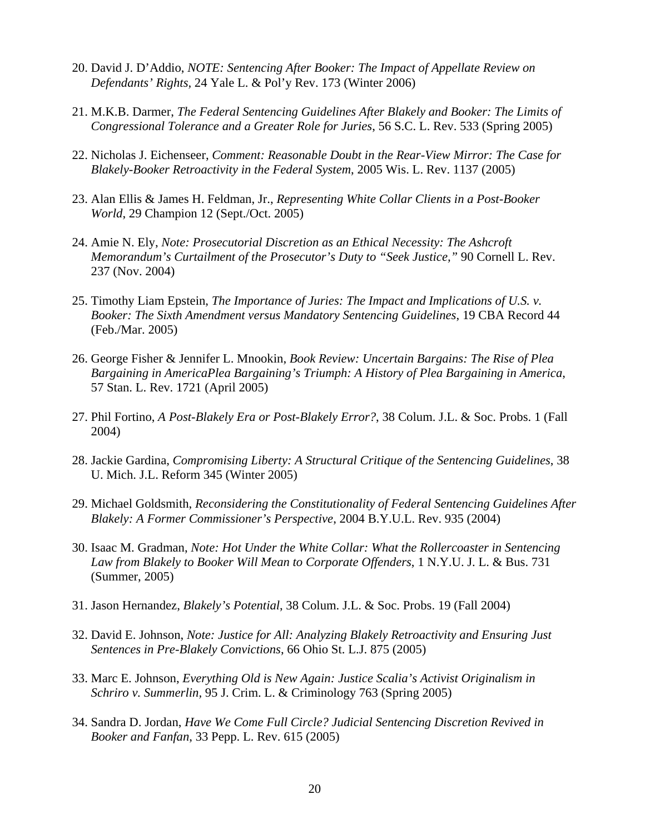- 20. David J. D'Addio, *NOTE: Sentencing After Booker: The Impact of Appellate Review on Defendants' Rights,* 24 Yale L. & Pol'y Rev. 173 (Winter 2006)
- 21. M.K.B. Darmer, *The Federal Sentencing Guidelines After Blakely and Booker: The Limits of Congressional Tolerance and a Greater Role for Juries*, 56 S.C. L. Rev. 533 (Spring 2005)
- 22. Nicholas J. Eichenseer, *Comment: Reasonable Doubt in the Rear-View Mirror: The Case for Blakely-Booker Retroactivity in the Federal System*, 2005 Wis. L. Rev. 1137 (2005)
- 23. Alan Ellis & James H. Feldman, Jr., *Representing White Collar Clients in a Post-Booker World*, 29 Champion 12 (Sept./Oct. 2005)
- 24. Amie N. Ely, *Note: Prosecutorial Discretion as an Ethical Necessity: The Ashcroft Memorandum's Curtailment of the Prosecutor's Duty to "Seek Justice,"* 90 Cornell L. Rev. 237 (Nov. 2004)
- 25. Timothy Liam Epstein, *The Importance of Juries: The Impact and Implications of U.S. v. Booker: The Sixth Amendment versus Mandatory Sentencing Guidelines*, 19 CBA Record 44 (Feb./Mar. 2005)
- 26. George Fisher & Jennifer L. Mnookin, *Book Review: Uncertain Bargains: The Rise of Plea Bargaining in AmericaPlea Bargaining's Triumph: A History of Plea Bargaining in America*, 57 Stan. L. Rev. 1721 (April 2005)
- 27. Phil Fortino, *A Post-Blakely Era or Post-Blakely Error?*, 38 Colum. J.L. & Soc. Probs. 1 (Fall 2004)
- 28. Jackie Gardina, *Compromising Liberty: A Structural Critique of the Sentencing Guidelines*, 38 U. Mich. J.L. Reform 345 (Winter 2005)
- 29. Michael Goldsmith, *Reconsidering the Constitutionality of Federal Sentencing Guidelines After Blakely: A Former Commissioner's Perspective*, 2004 B.Y.U.L. Rev. 935 (2004)
- 30. Isaac M. Gradman, *Note: Hot Under the White Collar: What the Rollercoaster in Sentencing Law from Blakely to Booker Will Mean to Corporate Offenders*, 1 N.Y.U. J. L. & Bus. 731 (Summer, 2005)
- 31. Jason Hernandez, *Blakely's Potential*, 38 Colum. J.L. & Soc. Probs. 19 (Fall 2004)
- 32. David E. Johnson, *Note: Justice for All: Analyzing Blakely Retroactivity and Ensuring Just Sentences in Pre-Blakely Convictions*, 66 Ohio St. L.J. 875 (2005)
- 33. Marc E. Johnson, *Everything Old is New Again: Justice Scalia's Activist Originalism in Schriro v. Summerlin,* 95 J. Crim. L. & Criminology 763 (Spring 2005)
- 34. Sandra D. Jordan, *Have We Come Full Circle? Judicial Sentencing Discretion Revived in Booker and Fanfan*, 33 Pepp. L. Rev. 615 (2005)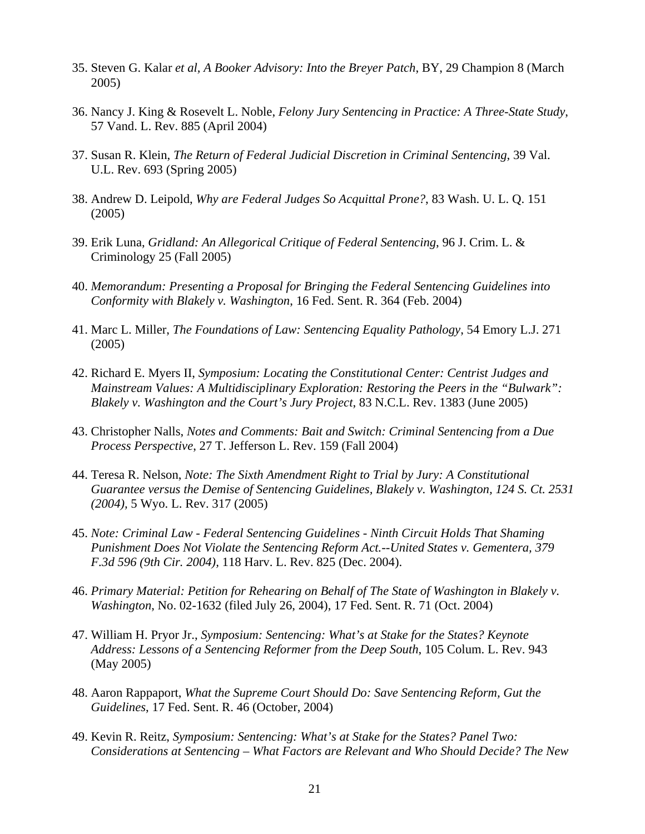- 35. Steven G. Kalar *et al, A Booker Advisory: Into the Breyer Patch*, BY, 29 Champion 8 (March 2005)
- 36. Nancy J. King & Rosevelt L. Noble, *Felony Jury Sentencing in Practice: A Three-State Study*, 57 Vand. L. Rev. 885 (April 2004)
- 37. Susan R. Klein, *The Return of Federal Judicial Discretion in Criminal Sentencing*, 39 Val. U.L. Rev. 693 (Spring 2005)
- 38. Andrew D. Leipold, *Why are Federal Judges So Acquittal Prone?*, 83 Wash. U. L. Q. 151 (2005)
- 39. Erik Luna, *Gridland: An Allegorical Critique of Federal Sentencing*, 96 J. Crim. L. & Criminology 25 (Fall 2005)
- 40. *Memorandum: Presenting a Proposal for Bringing the Federal Sentencing Guidelines into Conformity with Blakely v. Washington*, 16 Fed. Sent. R. 364 (Feb. 2004)
- 41. Marc L. Miller, *The Foundations of Law: Sentencing Equality Pathology*, 54 Emory L.J. 271 (2005)
- 42. Richard E. Myers II, *Symposium: Locating the Constitutional Center: Centrist Judges and Mainstream Values: A Multidisciplinary Exploration: Restoring the Peers in the "Bulwark": Blakely v. Washington and the Court's Jury Project*, 83 N.C.L. Rev. 1383 (June 2005)
- 43. Christopher Nalls, *Notes and Comments: Bait and Switch: Criminal Sentencing from a Due Process Perspective*, 27 T. Jefferson L. Rev. 159 (Fall 2004)
- 44. Teresa R. Nelson, *Note: The Sixth Amendment Right to Trial by Jury: A Constitutional Guarantee versus the Demise of Sentencing Guidelines, Blakely v. Washington, 124 S. Ct. 2531 (2004),* 5 Wyo. L. Rev. 317 (2005)
- 45. *Note: Criminal Law Federal Sentencing Guidelines Ninth Circuit Holds That Shaming Punishment Does Not Violate the Sentencing Reform Act.--United States v. Gementera, 379 F.3d 596 (9th Cir. 2004),* 118 Harv. L. Rev. 825 (Dec. 2004).
- 46. *Primary Material: Petition for Rehearing on Behalf of The State of Washington in Blakely v. Washington*, No. 02-1632 (filed July 26, 2004), 17 Fed. Sent. R. 71 (Oct. 2004)
- 47. William H. Pryor Jr., *Symposium: Sentencing: What's at Stake for the States? Keynote Address: Lessons of a Sentencing Reformer from the Deep South*, 105 Colum. L. Rev. 943 (May 2005)
- 48. Aaron Rappaport, *What the Supreme Court Should Do: Save Sentencing Reform, Gut the Guidelines*, 17 Fed. Sent. R. 46 (October, 2004)
- 49. Kevin R. Reitz, *Symposium: Sentencing: What's at Stake for the States? Panel Two: Considerations at Sentencing – What Factors are Relevant and Who Should Decide? The New*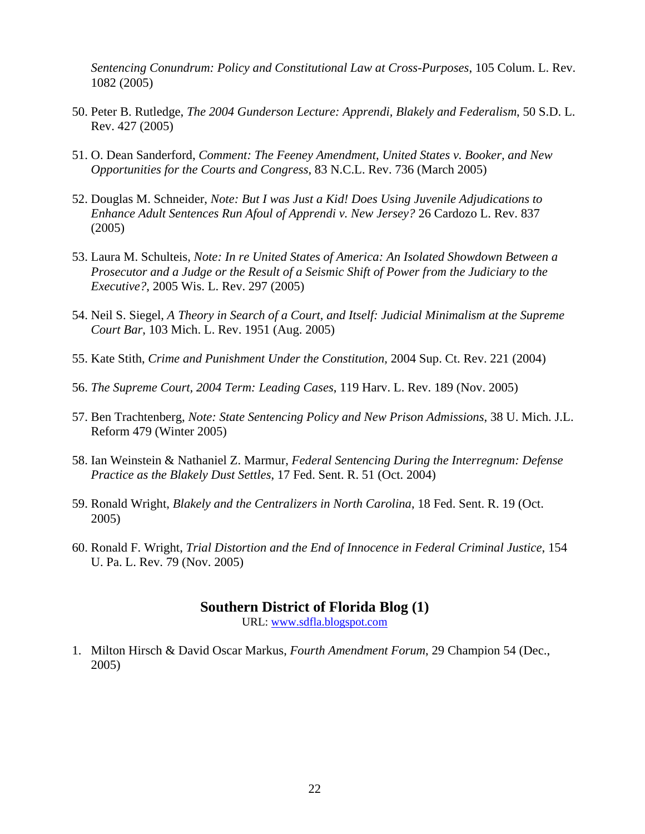*Sentencing Conundrum: Policy and Constitutional Law at Cross-Purposes*, 105 Colum. L. Rev. 1082 (2005)

- 50. Peter B. Rutledge, *The 2004 Gunderson Lecture: Apprendi, Blakely and Federalism*, 50 S.D. L. Rev. 427 (2005)
- 51. O. Dean Sanderford, *Comment: The Feeney Amendment, United States v. Booker, and New Opportunities for the Courts and Congress*, 83 N.C.L. Rev. 736 (March 2005)
- 52. Douglas M. Schneider, *Note: But I was Just a Kid! Does Using Juvenile Adjudications to Enhance Adult Sentences Run Afoul of Apprendi v. New Jersey?* 26 Cardozo L. Rev. 837 (2005)
- 53. Laura M. Schulteis, *Note: In re United States of America: An Isolated Showdown Between a Prosecutor and a Judge or the Result of a Seismic Shift of Power from the Judiciary to the Executive?*, 2005 Wis. L. Rev. 297 (2005)
- 54. Neil S. Siegel, *A Theory in Search of a Court, and Itself: Judicial Minimalism at the Supreme Court Bar*, 103 Mich. L. Rev. 1951 (Aug. 2005)
- 55. Kate Stith, *Crime and Punishment Under the Constitution,* 2004 Sup. Ct. Rev. 221 (2004)
- 56. *The Supreme Court, 2004 Term: Leading Cases*, 119 Harv. L. Rev. 189 (Nov. 2005)
- 57. Ben Trachtenberg, *Note: State Sentencing Policy and New Prison Admissions*, 38 U. Mich. J.L. Reform 479 (Winter 2005)
- 58. Ian Weinstein & Nathaniel Z. Marmur, *Federal Sentencing During the Interregnum: Defense Practice as the Blakely Dust Settles*, 17 Fed. Sent. R. 51 (Oct. 2004)
- 59. Ronald Wright, *Blakely and the Centralizers in North Carolina*, 18 Fed. Sent. R. 19 (Oct. 2005)
- 60. Ronald F. Wright, *Trial Distortion and the End of Innocence in Federal Criminal Justice*, 154 U. Pa. L. Rev. 79 (Nov. 2005)

#### **Southern District of Florida Blog (1)**

URL: [www.sdfla.blogspot.com](http://www.sdfla.blogspot.com/)

1. Milton Hirsch & David Oscar Markus, *Fourth Amendment Forum*, 29 Champion 54 (Dec., 2005)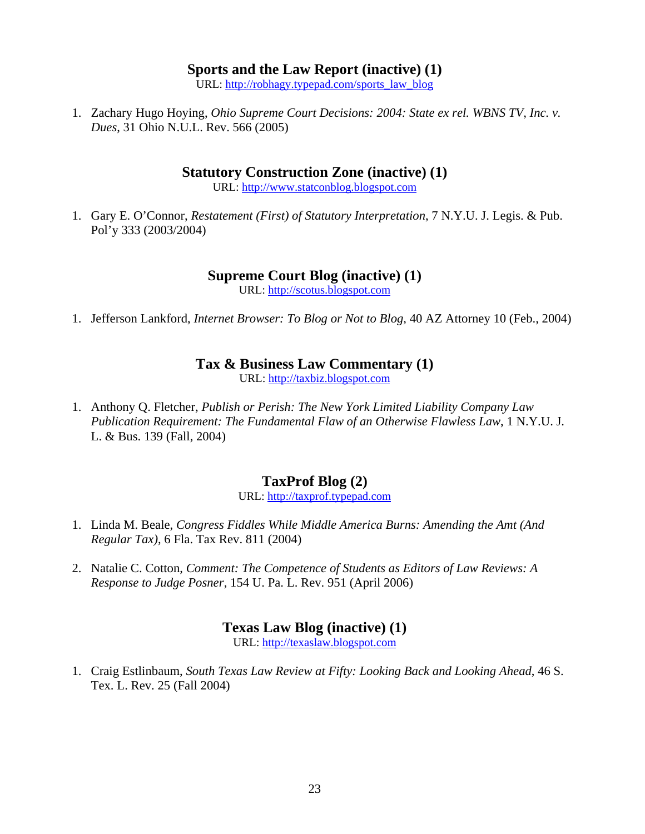#### **Sports and the Law Report (inactive) (1)**

URL: [http://robhagy.typepad.com/sports\\_law\\_blog](http://robhagy.typepad.com/sports_law_blog/)

1. Zachary Hugo Hoying, *Ohio Supreme Court Decisions: 2004: State ex rel. WBNS TV, Inc. v. Dues*, 31 Ohio N.U.L. Rev. 566 (2005)

### **Statutory Construction Zone (inactive) (1)**

URL: [http://www.statconblog.blogspot.com](http://www.statconblog.blogspot.com/)

1. Gary E. O'Connor, *Restatement (First) of Statutory Interpretation*, 7 N.Y.U. J. Legis. & Pub. Pol'y 333 (2003/2004)

### **Supreme Court Blog (inactive) (1)**

URL: [http://scotus.blogspot.com](http://scotus.blogspot.com/)

1. Jefferson Lankford, *Internet Browser: To Blog or Not to Blog*, 40 AZ Attorney 10 (Feb., 2004)

### **Tax & Business Law Commentary (1)**

URL: [http://taxbiz.blogspot.com](http://taxbiz.blogspot.com/)

1. Anthony Q. Fletcher, *Publish or Perish: The New York Limited Liability Company Law Publication Requirement: The Fundamental Flaw of an Otherwise Flawless Law*, 1 N.Y.U. J. L. & Bus. 139 (Fall, 2004)

# **TaxProf Blog (2)**

URL: [http://taxprof.typepad.com](http://taxprof.typepad.com/)

- 1. Linda M. Beale, *Congress Fiddles While Middle America Burns: Amending the Amt (And Regular Tax)*, 6 Fla. Tax Rev. 811 (2004)
- 2. Natalie C. Cotton, *Comment: The Competence of Students as Editors of Law Reviews: A Response to Judge Posner*, 154 U. Pa. L. Rev. 951 (April 2006)

### **Texas Law Blog (inactive) (1)**

URL: [http://texaslaw.blogspot.com](http://texaslaw.blogspot.com/)

1. Craig Estlinbaum, *South Texas Law Review at Fifty: Looking Back and Looking Ahead*, 46 S. Tex. L. Rev. 25 (Fall 2004)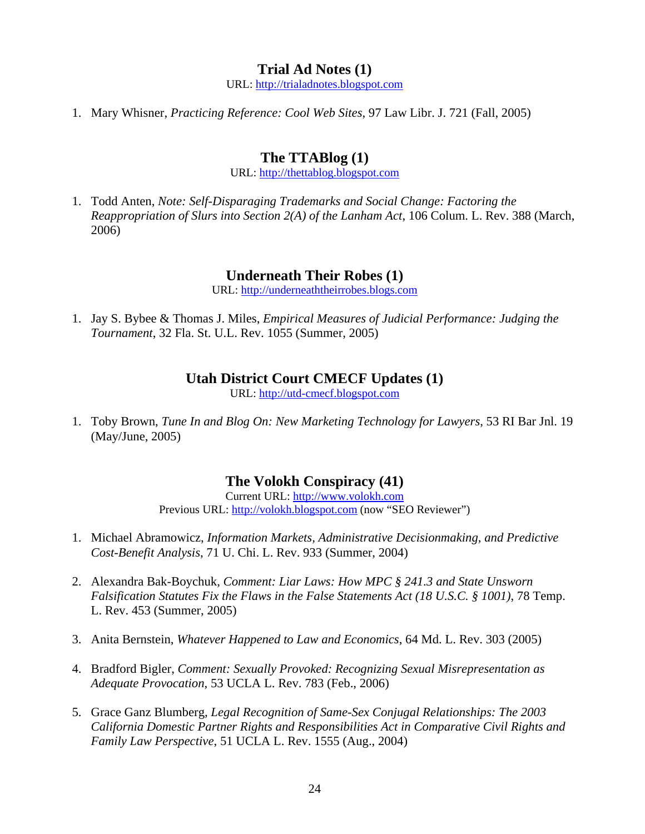### **Trial Ad Notes (1)**

URL: [http://trialadnotes.blogspot.com](http://trialadnotes.blogspot.com/)

1. Mary Whisner, *Practicing Reference: Cool Web Sites*, 97 Law Libr. J. 721 (Fall, 2005)

### **The TTABlog (1)**

URL: [http://thettablog.blogspot.com](http://thettablog.blogspot.com/)

1. Todd Anten, *Note: Self-Disparaging Trademarks and Social Change: Factoring the Reappropriation of Slurs into Section 2(A) of the Lanham Act*, 106 Colum. L. Rev. 388 (March, 2006)

### **Underneath Their Robes (1)**

URL: [http://underneaththeirrobes.blogs.com](http://underneaththeirrobes.blogs.com/)

1. Jay S. Bybee & Thomas J. Miles, *Empirical Measures of Judicial Performance: Judging the Tournament*, 32 Fla. St. U.L. Rev. 1055 (Summer, 2005)

### **Utah District Court CMECF Updates (1)**

URL: [http://utd-cmecf.blogspot.com](http://utd-cmecf.blogspot.com/)

1. Toby Brown, *Tune In and Blog On: New Marketing Technology for Lawyers*, 53 RI Bar Jnl. 19 (May/June, 2005)

### **The Volokh Conspiracy (41)**

Current URL: [http://www.volokh.com](http://www.volokh.com/) Previous URL: [http://volokh.blogspot.com](http://volokh.blogspot.com/) (now "SEO Reviewer")

- 1. Michael Abramowicz, *Information Markets, Administrative Decisionmaking, and Predictive Cost-Benefit Analysis*, 71 U. Chi. L. Rev. 933 (Summer, 2004)
- 2. Alexandra Bak-Boychuk, *Comment: Liar Laws: How MPC § 241.3 and State Unsworn Falsification Statutes Fix the Flaws in the False Statements Act (18 U.S.C. § 1001)*, 78 Temp. L. Rev. 453 (Summer, 2005)
- 3. Anita Bernstein, *Whatever Happened to Law and Economics*, 64 Md. L. Rev. 303 (2005)
- 4. Bradford Bigler, *Comment: Sexually Provoked: Recognizing Sexual Misrepresentation as Adequate Provocation*, 53 UCLA L. Rev. 783 (Feb., 2006)
- 5. Grace Ganz Blumberg, *Legal Recognition of Same-Sex Conjugal Relationships: The 2003 California Domestic Partner Rights and Responsibilities Act in Comparative Civil Rights and Family Law Perspective*, 51 UCLA L. Rev. 1555 (Aug., 2004)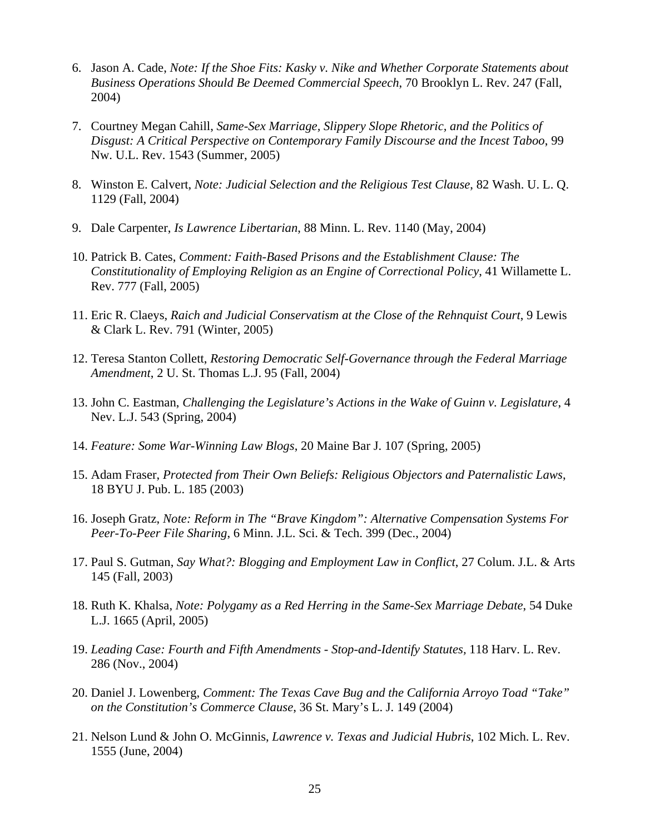- 6. Jason A. Cade, *Note: If the Shoe Fits: Kasky v. Nike and Whether Corporate Statements about Business Operations Should Be Deemed Commercial Speech*, 70 Brooklyn L. Rev. 247 (Fall, 2004)
- 7. Courtney Megan Cahill, *Same-Sex Marriage, Slippery Slope Rhetoric, and the Politics of Disgust: A Critical Perspective on Contemporary Family Discourse and the Incest Taboo*, 99 Nw. U.L. Rev. 1543 (Summer, 2005)
- 8. Winston E. Calvert, *Note: Judicial Selection and the Religious Test Clause*, 82 Wash. U. L. Q. 1129 (Fall, 2004)
- 9. Dale Carpenter, *Is Lawrence Libertarian*, 88 Minn. L. Rev. 1140 (May, 2004)
- 10. Patrick B. Cates, *Comment: Faith-Based Prisons and the Establishment Clause: The Constitutionality of Employing Religion as an Engine of Correctional Policy*, 41 Willamette L. Rev. 777 (Fall, 2005)
- 11. Eric R. Claeys, *Raich and Judicial Conservatism at the Close of the Rehnquist Court*, 9 Lewis & Clark L. Rev. 791 (Winter, 2005)
- 12. Teresa Stanton Collett, *Restoring Democratic Self-Governance through the Federal Marriage Amendment*, 2 U. St. Thomas L.J. 95 (Fall, 2004)
- 13. John C. Eastman, *Challenging the Legislature's Actions in the Wake of Guinn v. Legislature*, 4 Nev. L.J. 543 (Spring, 2004)
- 14. *Feature: Some War-Winning Law Blogs*, 20 Maine Bar J. 107 (Spring, 2005)
- 15. Adam Fraser, *Protected from Their Own Beliefs: Religious Objectors and Paternalistic Laws*, 18 BYU J. Pub. L. 185 (2003)
- 16. Joseph Gratz, *Note: Reform in The "Brave Kingdom": Alternative Compensation Systems For Peer-To-Peer File Sharing*, 6 Minn. J.L. Sci. & Tech. 399 (Dec., 2004)
- 17. Paul S. Gutman, *Say What?: Blogging and Employment Law in Conflict*, 27 Colum. J.L. & Arts 145 (Fall, 2003)
- 18. Ruth K. Khalsa, *Note: Polygamy as a Red Herring in the Same-Sex Marriage Debate*, 54 Duke L.J. 1665 (April, 2005)
- 19. *Leading Case: Fourth and Fifth Amendments Stop-and-Identify Statutes,* 118 Harv. L. Rev. 286 (Nov., 2004)
- 20. Daniel J. Lowenberg, *Comment: The Texas Cave Bug and the California Arroyo Toad "Take" on the Constitution's Commerce Clause*, 36 St. Mary's L. J. 149 (2004)
- 21. Nelson Lund & John O. McGinnis, *Lawrence v. Texas and Judicial Hubris*, 102 Mich. L. Rev. 1555 (June, 2004)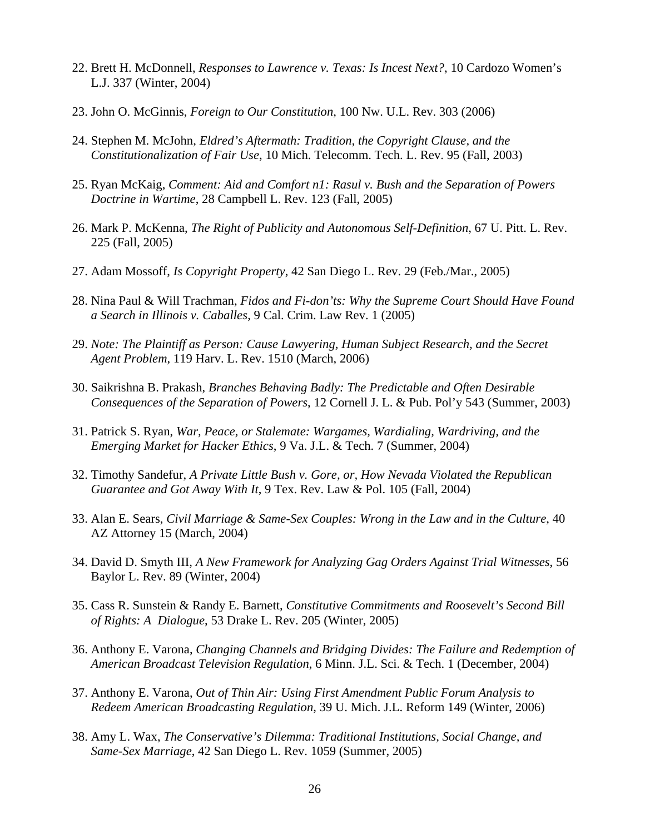- 22. Brett H. McDonnell, *Responses to Lawrence v. Texas: Is Incest Next?*, 10 Cardozo Women's L.J. 337 (Winter, 2004)
- 23. John O. McGinnis, *Foreign to Our Constitution*, 100 Nw. U.L. Rev. 303 (2006)
- 24. Stephen M. McJohn, *Eldred's Aftermath: Tradition, the Copyright Clause, and the Constitutionalization of Fair Use*, 10 Mich. Telecomm. Tech. L. Rev. 95 (Fall, 2003)
- 25. Ryan McKaig, *Comment: Aid and Comfort n1: Rasul v. Bush and the Separation of Powers Doctrine in Wartime*, 28 Campbell L. Rev. 123 (Fall, 2005)
- 26. Mark P. McKenna, *The Right of Publicity and Autonomous Self-Definition*, 67 U. Pitt. L. Rev. 225 (Fall, 2005)
- 27. Adam Mossoff, *Is Copyright Property*, 42 San Diego L. Rev. 29 (Feb./Mar., 2005)
- 28. Nina Paul & Will Trachman, *Fidos and Fi-don'ts: Why the Supreme Court Should Have Found a Search in Illinois v. Caballes*, 9 Cal. Crim. Law Rev. 1 (2005)
- 29. *Note: The Plaintiff as Person: Cause Lawyering, Human Subject Research, and the Secret Agent Problem*, 119 Harv. L. Rev. 1510 (March, 2006)
- 30. Saikrishna B. Prakash, *Branches Behaving Badly: The Predictable and Often Desirable Consequences of the Separation of Powers*, 12 Cornell J. L. & Pub. Pol'y 543 (Summer, 2003)
- 31. Patrick S. Ryan, *War, Peace, or Stalemate: Wargames, Wardialing, Wardriving, and the Emerging Market for Hacker Ethics*, 9 Va. J.L. & Tech. 7 (Summer, 2004)
- 32. Timothy Sandefur, *A Private Little Bush v. Gore, or, How Nevada Violated the Republican Guarantee and Got Away With It*, 9 Tex. Rev. Law & Pol. 105 (Fall, 2004)
- 33. Alan E. Sears, *Civil Marriage & Same-Sex Couples: Wrong in the Law and in the Culture*, 40 AZ Attorney 15 (March, 2004)
- 34. David D. Smyth III, *A New Framework for Analyzing Gag Orders Against Trial Witnesses*, 56 Baylor L. Rev. 89 (Winter, 2004)
- 35. Cass R. Sunstein & Randy E. Barnett, *Constitutive Commitments and Roosevelt's Second Bill of Rights: A Dialogue*, 53 Drake L. Rev. 205 (Winter, 2005)
- 36. Anthony E. Varona, *Changing Channels and Bridging Divides: The Failure and Redemption of American Broadcast Television Regulation*, 6 Minn. J.L. Sci. & Tech. 1 (December, 2004)
- 37. Anthony E. Varona, *Out of Thin Air: Using First Amendment Public Forum Analysis to Redeem American Broadcasting Regulation*, 39 U. Mich. J.L. Reform 149 (Winter, 2006)
- 38. Amy L. Wax, *The Conservative's Dilemma: Traditional Institutions, Social Change, and Same-Sex Marriage*, 42 San Diego L. Rev. 1059 (Summer, 2005)